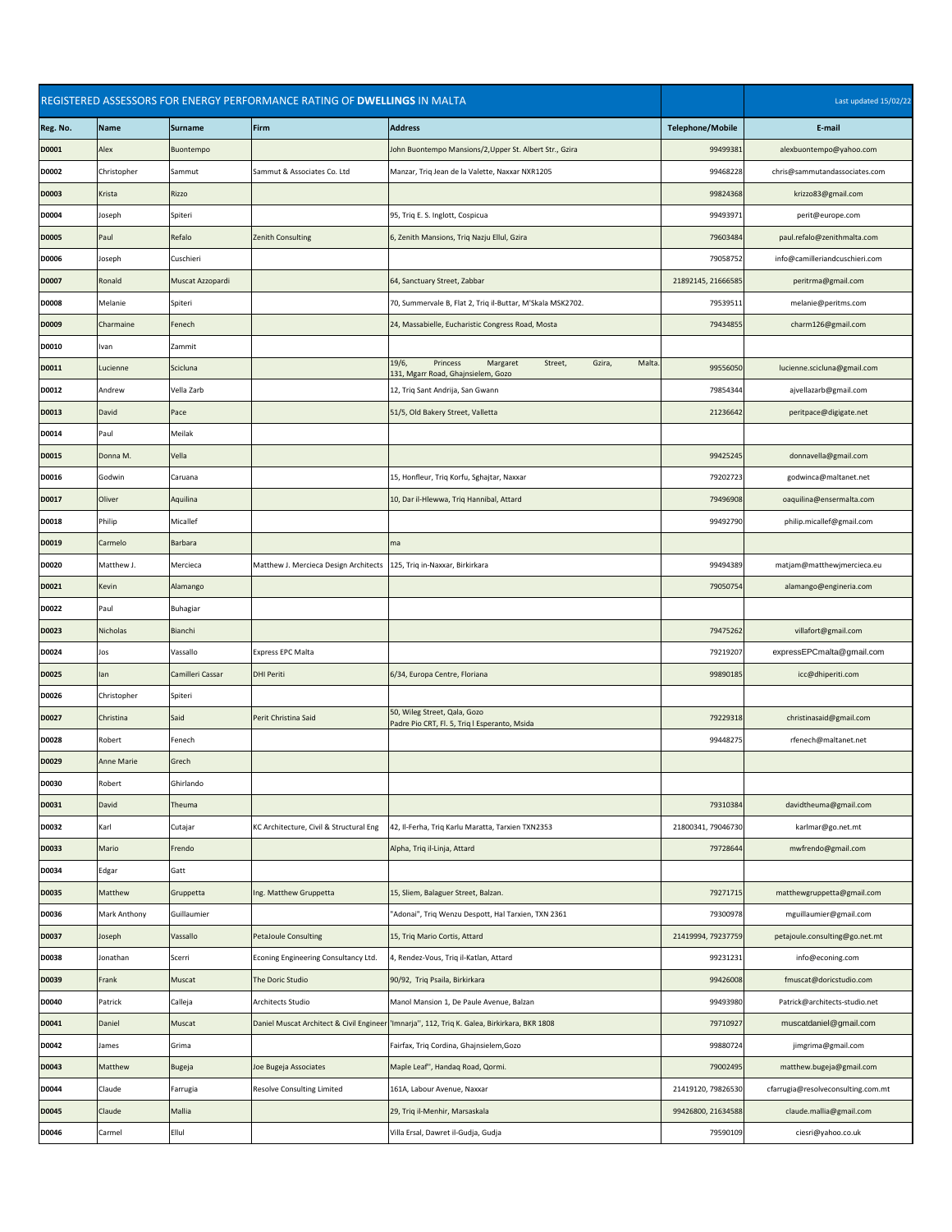|              |                     | REGISTERED ASSESSORS FOR ENERGY PERFORMANCE RATING OF DWELLINGS IN MALTA |                                                                         |                                                                                                    | Last updated 15/02/22   |                                    |
|--------------|---------------------|--------------------------------------------------------------------------|-------------------------------------------------------------------------|----------------------------------------------------------------------------------------------------|-------------------------|------------------------------------|
| Reg. No.     | Name                | Surname                                                                  | Firm                                                                    | <b>Address</b>                                                                                     | <b>Telephone/Mobile</b> | E-mail                             |
| <b>D0001</b> | Alex                | Buontempo                                                                |                                                                         | John Buontempo Mansions/2, Upper St. Albert Str., Gzira                                            | 99499381                | alexbuontempo@yahoo.com            |
| <b>D0002</b> | Christopher         | Sammut                                                                   | Sammut & Associates Co. Ltd                                             | Manzar, Triq Jean de la Valette, Naxxar NXR1205                                                    | 99468228                | chris@sammutandassociates.com      |
| <b>D0003</b> | <b>Krista</b>       | <b>Rizzo</b>                                                             |                                                                         |                                                                                                    | 99824368                | krizzo83@gmail.com                 |
| <b>D0004</b> | Joseph              | Spiteri                                                                  |                                                                         | 95, Triq E. S. Inglott, Cospicua                                                                   | 99493971                | perit@europe.com                   |
| <b>D0005</b> | Paul                | Refalo                                                                   | Zenith Consulting                                                       | 6, Zenith Mansions, Triq Nazju Ellul, Gzira                                                        | 79603484                | paul.refalo@zenithmalta.com        |
| <b>D0006</b> | Joseph              | Cuschieri                                                                |                                                                         |                                                                                                    | 79058752                | info@camilleriandcuschieri.com     |
| <b>D0007</b> | Ronald              | Muscat Azzopardi                                                         |                                                                         | 64, Sanctuary Street, Zabbar                                                                       | 21892145, 21666585      | peritrma@gmail.com                 |
| <b>D0008</b> | Melanie             | Spiteri                                                                  |                                                                         | 70, Summervale B, Flat 2, Triq il-Buttar, M'Skala MSK2702.                                         | 79539511                | melanie@peritms.com                |
| <b>D0009</b> | Charmaine           | Fenech                                                                   |                                                                         | 24, Massabielle, Eucharistic Congress Road, Mosta                                                  | 79434855                | charm126@gmail.com                 |
| D0010        | Ivan                | Zammit                                                                   |                                                                         |                                                                                                    |                         |                                    |
| D0011        | Lucienne            | Scicluna                                                                 |                                                                         | 19/6,<br>Street,<br>Gzira,<br>Malta.<br>Princess<br>Margaret<br>131, Mgarr Road, Ghajnsielem, Gozo | 99556050                | lucienne.scicluna@gmail.com        |
| D0012        | Andrew              | Vella Zarb                                                               |                                                                         | 12, Triq Sant Andrija, San Gwann                                                                   | 79854344                | ajvellazarb@gmail.com              |
| <b>D0013</b> | David               | Pace                                                                     |                                                                         | 51/5, Old Bakery Street, Valletta                                                                  | 21236642                | peritpace@digigate.net             |
| D0014        | Paul                | Meilak                                                                   |                                                                         |                                                                                                    |                         |                                    |
| <b>D0015</b> | Donna M.            | Vella                                                                    |                                                                         |                                                                                                    | 99425245                | donnavella@gmail.com               |
| D0016        | Godwin              | Caruana                                                                  |                                                                         | 15, Honfleur, Triq Korfu, Sghajtar, Naxxar                                                         | 79202723                | godwinca@maltanet.net              |
| D0017        | Oliver              | Aquilina                                                                 |                                                                         | 10, Dar il-Hlewwa, Triq Hannibal, Attard                                                           | 79496908                | oaquilina@ensermalta.com           |
| D0018        | Philip              | Micallef                                                                 |                                                                         |                                                                                                    | 99492790                | philip.micallef@gmail.com          |
| D0019        | Carmelo             | Barbara                                                                  |                                                                         | $\mathsf{Im}\mathsf{a}$                                                                            |                         |                                    |
| <b>D0020</b> | Matthew J.          | Mercieca                                                                 | Matthew J. Mercieca Design Architects   125, Triq in-Naxxar, Birkirkara |                                                                                                    | 99494389                | matjam@matthewjmercieca.eu         |
| D0021        | Kevin               | Alamango                                                                 |                                                                         |                                                                                                    | 79050754                | alamango@engineria.com             |
| D0022        | Paul                | <b>Buhagiar</b>                                                          |                                                                         |                                                                                                    |                         |                                    |
| <b>D0023</b> | Nicholas            | Bianchi                                                                  |                                                                         |                                                                                                    | 79475262                | villafort@gmail.com                |
| D0024        | Jos                 | Vassallo                                                                 | <b>Express EPC Malta</b>                                                |                                                                                                    | 79219207                | expressEPCmalta@gmail.com          |
| <b>D0025</b> | lan                 | Camilleri Cassar                                                         | <b>DHI Periti</b>                                                       | 6/34, Europa Centre, Floriana                                                                      | 99890185                | icc@dhiperiti.com                  |
| D0026        | Christopher         | Spiteri                                                                  |                                                                         |                                                                                                    |                         |                                    |
| <b>D0027</b> | Christina           | Said                                                                     | Perit Christina Said                                                    | 50, Wileg Street, Qala, Gozo<br>Padre Pio CRT, Fl. 5, Triq I Esperanto, Msida                      | 79229318                | christinasaid@gmail.com            |
| <b>D0028</b> | Robert              | Fenech                                                                   |                                                                         |                                                                                                    | 99448275                | rfenech@maltanet.net               |
| <b>D0029</b> | <b>Anne Marie</b>   | Grech                                                                    |                                                                         |                                                                                                    |                         |                                    |
| <b>D0030</b> | Robert              | Ghirlando                                                                |                                                                         |                                                                                                    |                         |                                    |
| D0031        | David               | Theuma                                                                   |                                                                         |                                                                                                    | 79310384                | davidtheuma@gmail.com              |
| <b>D0032</b> | Karl                | Cutajar                                                                  | KC Architecture, Civil & Structural Eng                                 | 42, Il-Ferha, Triq Karlu Maratta, Tarxien TXN2353                                                  | 21800341, 79046730      | karlmar@go.net.mt                  |
| <b>D0033</b> | Mario               | Frendo                                                                   |                                                                         | Alpha, Triq il-Linja, Attard                                                                       | 79728644                | mwfrendo@gmail.com                 |
| <b>D0034</b> | Edgar               | Gatt                                                                     |                                                                         |                                                                                                    |                         |                                    |
| <b>D0035</b> | Matthew             | Gruppetta                                                                | Ing. Matthew Gruppetta                                                  | 15, Sliem, Balaguer Street, Balzan.                                                                | 79271715                | matthewgruppetta@gmail.com         |
| <b>D0036</b> | <b>Mark Anthony</b> | Guillaumier                                                              |                                                                         | "Adonai", Triq Wenzu Despott, Hal Tarxien, TXN 2361                                                | 79300978                | mguillaumier@gmail.com             |
| <b>D0037</b> | Joseph              | Vassallo                                                                 | <b>PetaJoule Consulting</b>                                             | 15, Triq Mario Cortis, Attard                                                                      | 21419994, 79237759      | petajoule.consulting@go.net.mt     |
| <b>D0038</b> | Jonathan            | Scerri                                                                   | Econing Engineering Consultancy Ltd.                                    | 4, Rendez-Vous, Triq il-Katlan, Attard                                                             | 99231231                | info@econing.com                   |
| <b>D0039</b> | Frank               | <b>Muscat</b>                                                            | The Doric Studio                                                        | 90/92, Triq Psaila, Birkirkara                                                                     | 99426008                | fmuscat@doricstudio.com            |
| <b>D0040</b> | Patrick             | Calleja                                                                  | Architects Studio                                                       | Manol Mansion 1, De Paule Avenue, Balzan                                                           | 99493980                | Patrick@architects-studio.net      |
| D0041        | Daniel              | Muscat                                                                   |                                                                         | Daniel Muscat Architect & Civil Engineer   'Imnarja'', 112, Triq K. Galea, Birkirkara, BKR 1808    | 79710927                | muscatdaniel@gmail.com             |
| D0042        | James               | Grima                                                                    |                                                                         | Fairfax, Triq Cordina, Ghajnsielem, Gozo                                                           | 99880724                | jimgrima@gmail.com                 |
| <b>D0043</b> | Matthew             | Bugeja                                                                   | Joe Bugeja Associates                                                   | Maple Leaf", Handaq Road, Qormi.                                                                   | 79002495                | matthew.bugeja@gmail.com           |
| D0044        | Claude              | Farrugia                                                                 | Resolve Consulting Limited                                              | 161A, Labour Avenue, Naxxar                                                                        | 21419120, 79826530      | cfarrugia@resolveconsulting.com.mt |
| <b>D0045</b> | Claude              | Mallia                                                                   |                                                                         | 29, Triq il-Menhir, Marsaskala                                                                     | 99426800, 21634588      | claude.mallia@gmail.com            |
| D0046        | Carmel              | Ellul                                                                    |                                                                         | Villa Ersal, Dawret il-Gudja, Gudja                                                                | 79590109                | ciesri@yahoo.co.uk                 |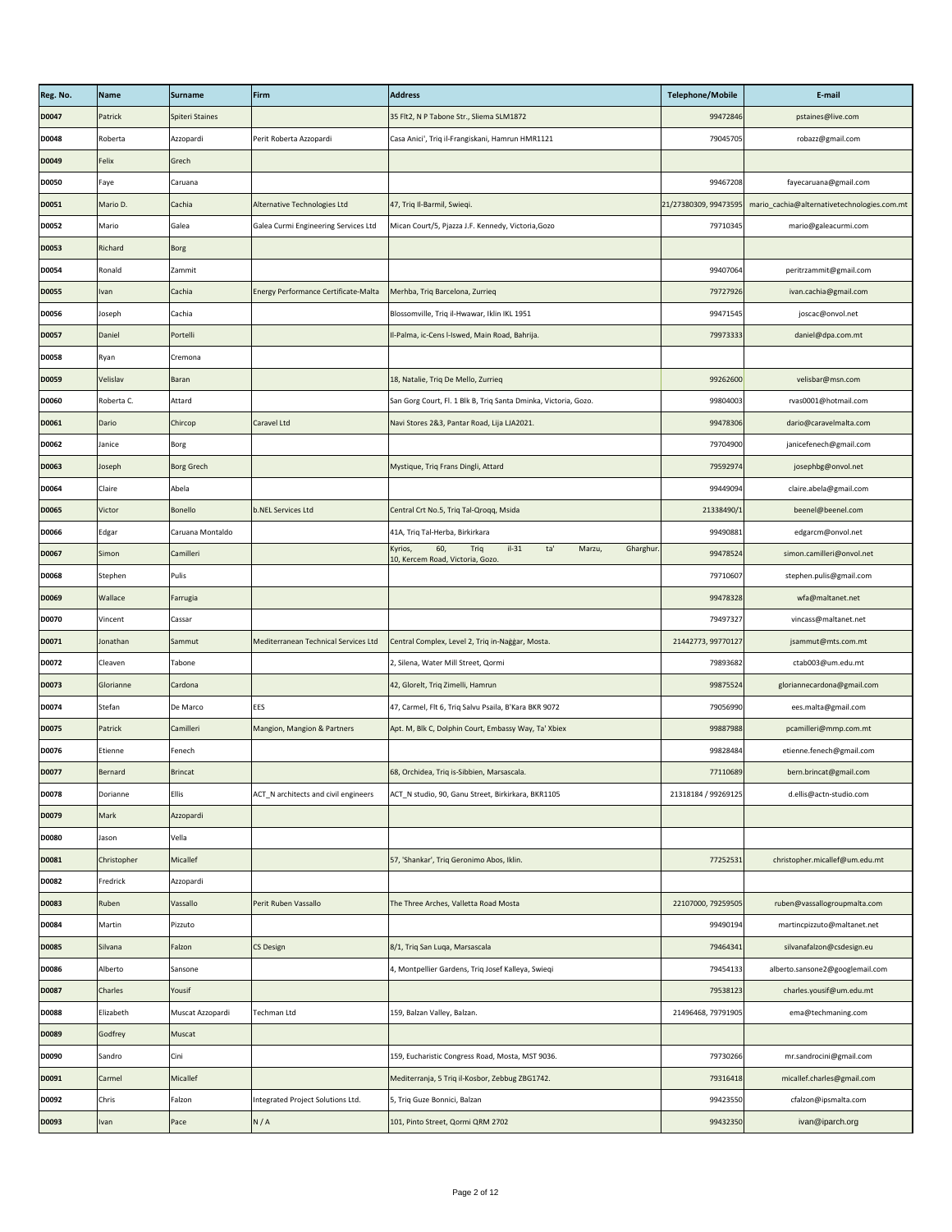| 99472846<br>Patrick<br>Spiteri Staines<br>35 Flt2, N P Tabone Str., Sliema SLM1872<br>pstaines@live.com<br>Casa Anici', Triq il-Frangiskani, Hamrun HMR1121<br>79045705<br>robazz@gmail.com<br>Roberta<br>Perit Roberta Azzopardi<br>Azzopardi<br>Felix<br>Grech<br>fayecaruana@gmail.com<br>99467208<br>Faye<br>Caruana<br>Mario D.<br>Alternative Technologies Ltd<br>47, Triq Il-Barmil, Swieqi.<br>21/27380309, 99473595<br>mario_cachia@alternativetechnologies.com.mt<br>Cachia<br>Mican Court/5, Pjazza J.F. Kennedy, Victoria, Gozo<br>79710345<br>Galea Curmi Engineering Services Ltd<br>mario@galeacurmi.com<br>Mario<br>Galea<br>Richard<br><b>Borg</b><br>99407064<br>peritrzammit@gmail.com<br>Ronald<br>Zammit<br><b>Energy Performance Certificate-Malta</b><br>Merhba, Triq Barcelona, Zurrieq<br>79727926<br>ivan.cachia@gmail.com<br>Cachia<br><b>Ivan</b><br>Blossomville, Triq il-Hwawar, Iklin IKL 1951<br>Cachia<br>99471545<br>joscac@onvol.net<br>Joseph<br>I-Palma, ic-Cens I-Iswed, Main Road, Bahrija.<br>79973333<br>Daniel<br>Portelli<br>daniel@dpa.com.mt<br>Ryan<br>Cremona<br>Velislav<br>18, Natalie, Triq De Mello, Zurrieq<br>99262600<br>velisbar@msn.com<br><b>Baran</b><br>Roberta C.<br>San Gorg Court, Fl. 1 Blk B, Triq Santa Dminka, Victoria, Gozo.<br>99804003<br>rvas0001@hotmail.com<br>Attard<br>Dario<br>Chircop<br>Caravel Ltd<br>99478306<br>dario@caravelmalta.com<br>Navi Stores 2&3, Pantar Road, Lija LJA2021.<br>79704900<br>janicefenech@gmail.com<br>Janice<br>Borg<br><b>Borg Grech</b><br>Mystique, Triq Frans Dingli, Attard<br>79592974<br>josephbg@onvol.net<br>Joseph<br>claire.abela@gmail.com<br>Claire<br>Abela<br>99449094<br>beenel@beenel.com<br>Victor<br><b>b.NEL Services Ltd</b><br>Central Crt No.5, Triq Tal-Qroqq, Msida<br>21338490/1<br>Bonello<br>41A, Triq Tal-Herba, Birkirkara<br>99490881<br>Edgar<br>Caruana Montaldo<br>edgarcm@onvol.net<br>$il-31$<br>ta'<br>Gharghur.<br>60,<br>Triq<br>Kyrios,<br>Marzu,<br>99478524<br>simon.camilleri@onvol.net<br>Simon<br>Camilleri<br>10, Kercem Road, Victoria, Gozo.<br>79710607<br>stephen.pulis@gmail.com<br>Stephen<br>Pulis<br>wfa@maltanet.net<br><b>Wallace</b><br>99478328<br>Farrugia<br>79497327<br>vincass@maltanet.net<br>Vincent<br>Cassar<br>Mediterranean Technical Services Ltd<br>21442773, 99770127<br>Central Complex, Level 2, Triq in-Naġġar, Mosta.<br>jsammut@mts.com.mt<br>Jonathan<br>Sammut<br>2, Silena, Water Mill Street, Qormi<br>79893682<br>ctab003@um.edu.mt<br>Cleaven<br>Tabone<br>42, Glorelt, Triq Zimelli, Hamrun<br>gloriannecardona@gmail.com<br>Glorianne<br>99875524<br>Cardona<br>Stefan<br>47, Carmel, Flt 6, Triq Salvu Psaila, B'Kara BKR 9072<br><b>EES</b><br>79056990<br>ees.malta@gmail.com<br>De Marco<br>Camilleri<br><b>Mangion, Mangion &amp; Partners</b><br>Apt. M, Blk C, Dolphin Court, Embassy Way, Ta' Xbiex<br>99887988<br>pcamilleri@mmp.com.mt<br>Patrick<br>99828484<br>Etienne<br>etienne.fenech@gmail.com<br>Fenech<br>bern.brincat@gmail.com<br>68, Orchidea, Triq is-Sibbien, Marsascala.<br>77110689<br>Bernard<br><b>Brincat</b><br>21318184 / 99269125<br><b>Ellis</b><br>ACT_N architects and civil engineers<br>ACT_N studio, 90, Ganu Street, Birkirkara, BKR1105<br>d.ellis@actn-studio.com<br>Dorianne<br>Mark<br>Azzopardi<br>Vella<br>Jason<br>57, 'Shankar', Triq Geronimo Abos, Iklin.<br>77252531<br>christopher.micallef@um.edu.mt<br>Christopher<br><b>Micallef</b><br>Fredrick<br>Azzopardi<br>ruben@vassallogroupmalta.com<br>Ruben<br>Perit Ruben Vassallo<br>The Three Arches, Valletta Road Mosta<br>22107000, 79259505<br>Vassallo<br>99490194<br>martincpizzuto@maltanet.net<br>Martin<br>Pizzuto<br>8/1, Triq San Luqa, Marsascala<br>silvanafalzon@csdesign.eu<br><b>CS Design</b><br>79464341<br>Silvana<br>Falzon<br>alberto.sansone2@googlemail.com<br>4, Montpellier Gardens, Triq Josef Kalleya, Swieqi<br>79454133<br>Alberto<br>Sansone<br>Yousif<br>charles.yousif@um.edu.mt<br><b>Charles</b><br>79538123<br>159, Balzan Valley, Balzan.<br>Elizabeth<br>Muscat Azzopardi<br><b>Techman Ltd</b><br>21496468, 79791905<br>ema@techmaning.com<br>Godfrey<br>Muscat<br>159, Eucharistic Congress Road, Mosta, MST 9036.<br>79730266<br>mr.sandrocini@gmail.com<br>Sandro<br>Cini<br>Micallef<br>Mediterranja, 5 Triq il-Kosbor, Zebbug ZBG1742.<br>micallef.charles@gmail.com<br>Carmel<br>79316418<br>Chris<br>99423550<br>cfalzon@ipsmalta.com<br>Falzon<br>Integrated Project Solutions Ltd.<br>5, Triq Guze Bonnici, Balzan<br>ivan@iparch.org<br>N/A<br>101, Pinto Street, Qormi QRM 2702<br>99432350<br>Pace<br>Ivan | Reg. No.     | Name | <b>Surname</b> | Firm | <b>Address</b> | <b>Telephone/Mobile</b> | E-mail |
|---------------------------------------------------------------------------------------------------------------------------------------------------------------------------------------------------------------------------------------------------------------------------------------------------------------------------------------------------------------------------------------------------------------------------------------------------------------------------------------------------------------------------------------------------------------------------------------------------------------------------------------------------------------------------------------------------------------------------------------------------------------------------------------------------------------------------------------------------------------------------------------------------------------------------------------------------------------------------------------------------------------------------------------------------------------------------------------------------------------------------------------------------------------------------------------------------------------------------------------------------------------------------------------------------------------------------------------------------------------------------------------------------------------------------------------------------------------------------------------------------------------------------------------------------------------------------------------------------------------------------------------------------------------------------------------------------------------------------------------------------------------------------------------------------------------------------------------------------------------------------------------------------------------------------------------------------------------------------------------------------------------------------------------------------------------------------------------------------------------------------------------------------------------------------------------------------------------------------------------------------------------------------------------------------------------------------------------------------------------------------------------------------------------------------------------------------------------------------------------------------------------------------------------------------------------------------------------------------------------------------------------------------------------------------------------------------------------------------------------------------------------------------------------------------------------------------------------------------------------------------------------------------------------------------------------------------------------------------------------------------------------------------------------------------------------------------------------------------------------------------------------------------------------------------------------------------------------------------------------------------------------------------------------------------------------------------------------------------------------------------------------------------------------------------------------------------------------------------------------------------------------------------------------------------------------------------------------------------------------------------------------------------------------------------------------------------------------------------------------------------------------------------------------------------------------------------------------------------------------------------------------------------------------------------------------------------------------------------------------------------------------------------------------------------------------------------------------------------------------------------------------------------------------------------------------------------------------------------------------------------------------------------------------------------------------------------------------------------------------------------------------------------------------------------------------------------------------------------------------------------------------------------------------------------------------------------------------------------------------------------------------------------------------|--------------|------|----------------|------|----------------|-------------------------|--------|
|                                                                                                                                                                                                                                                                                                                                                                                                                                                                                                                                                                                                                                                                                                                                                                                                                                                                                                                                                                                                                                                                                                                                                                                                                                                                                                                                                                                                                                                                                                                                                                                                                                                                                                                                                                                                                                                                                                                                                                                                                                                                                                                                                                                                                                                                                                                                                                                                                                                                                                                                                                                                                                                                                                                                                                                                                                                                                                                                                                                                                                                                                                                                                                                                                                                                                                                                                                                                                                                                                                                                                                                                                                                                                                                                                                                                                                                                                                                                                                                                                                                                                                                                                                                                                                                                                                                                                                                                                                                                                                                                                                                                                                                               | <b>D0047</b> |      |                |      |                |                         |        |
|                                                                                                                                                                                                                                                                                                                                                                                                                                                                                                                                                                                                                                                                                                                                                                                                                                                                                                                                                                                                                                                                                                                                                                                                                                                                                                                                                                                                                                                                                                                                                                                                                                                                                                                                                                                                                                                                                                                                                                                                                                                                                                                                                                                                                                                                                                                                                                                                                                                                                                                                                                                                                                                                                                                                                                                                                                                                                                                                                                                                                                                                                                                                                                                                                                                                                                                                                                                                                                                                                                                                                                                                                                                                                                                                                                                                                                                                                                                                                                                                                                                                                                                                                                                                                                                                                                                                                                                                                                                                                                                                                                                                                                                               | <b>D0048</b> |      |                |      |                |                         |        |
|                                                                                                                                                                                                                                                                                                                                                                                                                                                                                                                                                                                                                                                                                                                                                                                                                                                                                                                                                                                                                                                                                                                                                                                                                                                                                                                                                                                                                                                                                                                                                                                                                                                                                                                                                                                                                                                                                                                                                                                                                                                                                                                                                                                                                                                                                                                                                                                                                                                                                                                                                                                                                                                                                                                                                                                                                                                                                                                                                                                                                                                                                                                                                                                                                                                                                                                                                                                                                                                                                                                                                                                                                                                                                                                                                                                                                                                                                                                                                                                                                                                                                                                                                                                                                                                                                                                                                                                                                                                                                                                                                                                                                                                               | D0049        |      |                |      |                |                         |        |
|                                                                                                                                                                                                                                                                                                                                                                                                                                                                                                                                                                                                                                                                                                                                                                                                                                                                                                                                                                                                                                                                                                                                                                                                                                                                                                                                                                                                                                                                                                                                                                                                                                                                                                                                                                                                                                                                                                                                                                                                                                                                                                                                                                                                                                                                                                                                                                                                                                                                                                                                                                                                                                                                                                                                                                                                                                                                                                                                                                                                                                                                                                                                                                                                                                                                                                                                                                                                                                                                                                                                                                                                                                                                                                                                                                                                                                                                                                                                                                                                                                                                                                                                                                                                                                                                                                                                                                                                                                                                                                                                                                                                                                                               | <b>D0050</b> |      |                |      |                |                         |        |
|                                                                                                                                                                                                                                                                                                                                                                                                                                                                                                                                                                                                                                                                                                                                                                                                                                                                                                                                                                                                                                                                                                                                                                                                                                                                                                                                                                                                                                                                                                                                                                                                                                                                                                                                                                                                                                                                                                                                                                                                                                                                                                                                                                                                                                                                                                                                                                                                                                                                                                                                                                                                                                                                                                                                                                                                                                                                                                                                                                                                                                                                                                                                                                                                                                                                                                                                                                                                                                                                                                                                                                                                                                                                                                                                                                                                                                                                                                                                                                                                                                                                                                                                                                                                                                                                                                                                                                                                                                                                                                                                                                                                                                                               | <b>D0051</b> |      |                |      |                |                         |        |
|                                                                                                                                                                                                                                                                                                                                                                                                                                                                                                                                                                                                                                                                                                                                                                                                                                                                                                                                                                                                                                                                                                                                                                                                                                                                                                                                                                                                                                                                                                                                                                                                                                                                                                                                                                                                                                                                                                                                                                                                                                                                                                                                                                                                                                                                                                                                                                                                                                                                                                                                                                                                                                                                                                                                                                                                                                                                                                                                                                                                                                                                                                                                                                                                                                                                                                                                                                                                                                                                                                                                                                                                                                                                                                                                                                                                                                                                                                                                                                                                                                                                                                                                                                                                                                                                                                                                                                                                                                                                                                                                                                                                                                                               | <b>D0052</b> |      |                |      |                |                         |        |
|                                                                                                                                                                                                                                                                                                                                                                                                                                                                                                                                                                                                                                                                                                                                                                                                                                                                                                                                                                                                                                                                                                                                                                                                                                                                                                                                                                                                                                                                                                                                                                                                                                                                                                                                                                                                                                                                                                                                                                                                                                                                                                                                                                                                                                                                                                                                                                                                                                                                                                                                                                                                                                                                                                                                                                                                                                                                                                                                                                                                                                                                                                                                                                                                                                                                                                                                                                                                                                                                                                                                                                                                                                                                                                                                                                                                                                                                                                                                                                                                                                                                                                                                                                                                                                                                                                                                                                                                                                                                                                                                                                                                                                                               | <b>D0053</b> |      |                |      |                |                         |        |
|                                                                                                                                                                                                                                                                                                                                                                                                                                                                                                                                                                                                                                                                                                                                                                                                                                                                                                                                                                                                                                                                                                                                                                                                                                                                                                                                                                                                                                                                                                                                                                                                                                                                                                                                                                                                                                                                                                                                                                                                                                                                                                                                                                                                                                                                                                                                                                                                                                                                                                                                                                                                                                                                                                                                                                                                                                                                                                                                                                                                                                                                                                                                                                                                                                                                                                                                                                                                                                                                                                                                                                                                                                                                                                                                                                                                                                                                                                                                                                                                                                                                                                                                                                                                                                                                                                                                                                                                                                                                                                                                                                                                                                                               | <b>D0054</b> |      |                |      |                |                         |        |
|                                                                                                                                                                                                                                                                                                                                                                                                                                                                                                                                                                                                                                                                                                                                                                                                                                                                                                                                                                                                                                                                                                                                                                                                                                                                                                                                                                                                                                                                                                                                                                                                                                                                                                                                                                                                                                                                                                                                                                                                                                                                                                                                                                                                                                                                                                                                                                                                                                                                                                                                                                                                                                                                                                                                                                                                                                                                                                                                                                                                                                                                                                                                                                                                                                                                                                                                                                                                                                                                                                                                                                                                                                                                                                                                                                                                                                                                                                                                                                                                                                                                                                                                                                                                                                                                                                                                                                                                                                                                                                                                                                                                                                                               | <b>D0055</b> |      |                |      |                |                         |        |
|                                                                                                                                                                                                                                                                                                                                                                                                                                                                                                                                                                                                                                                                                                                                                                                                                                                                                                                                                                                                                                                                                                                                                                                                                                                                                                                                                                                                                                                                                                                                                                                                                                                                                                                                                                                                                                                                                                                                                                                                                                                                                                                                                                                                                                                                                                                                                                                                                                                                                                                                                                                                                                                                                                                                                                                                                                                                                                                                                                                                                                                                                                                                                                                                                                                                                                                                                                                                                                                                                                                                                                                                                                                                                                                                                                                                                                                                                                                                                                                                                                                                                                                                                                                                                                                                                                                                                                                                                                                                                                                                                                                                                                                               | <b>D0056</b> |      |                |      |                |                         |        |
|                                                                                                                                                                                                                                                                                                                                                                                                                                                                                                                                                                                                                                                                                                                                                                                                                                                                                                                                                                                                                                                                                                                                                                                                                                                                                                                                                                                                                                                                                                                                                                                                                                                                                                                                                                                                                                                                                                                                                                                                                                                                                                                                                                                                                                                                                                                                                                                                                                                                                                                                                                                                                                                                                                                                                                                                                                                                                                                                                                                                                                                                                                                                                                                                                                                                                                                                                                                                                                                                                                                                                                                                                                                                                                                                                                                                                                                                                                                                                                                                                                                                                                                                                                                                                                                                                                                                                                                                                                                                                                                                                                                                                                                               | <b>D0057</b> |      |                |      |                |                         |        |
|                                                                                                                                                                                                                                                                                                                                                                                                                                                                                                                                                                                                                                                                                                                                                                                                                                                                                                                                                                                                                                                                                                                                                                                                                                                                                                                                                                                                                                                                                                                                                                                                                                                                                                                                                                                                                                                                                                                                                                                                                                                                                                                                                                                                                                                                                                                                                                                                                                                                                                                                                                                                                                                                                                                                                                                                                                                                                                                                                                                                                                                                                                                                                                                                                                                                                                                                                                                                                                                                                                                                                                                                                                                                                                                                                                                                                                                                                                                                                                                                                                                                                                                                                                                                                                                                                                                                                                                                                                                                                                                                                                                                                                                               | <b>D0058</b> |      |                |      |                |                         |        |
|                                                                                                                                                                                                                                                                                                                                                                                                                                                                                                                                                                                                                                                                                                                                                                                                                                                                                                                                                                                                                                                                                                                                                                                                                                                                                                                                                                                                                                                                                                                                                                                                                                                                                                                                                                                                                                                                                                                                                                                                                                                                                                                                                                                                                                                                                                                                                                                                                                                                                                                                                                                                                                                                                                                                                                                                                                                                                                                                                                                                                                                                                                                                                                                                                                                                                                                                                                                                                                                                                                                                                                                                                                                                                                                                                                                                                                                                                                                                                                                                                                                                                                                                                                                                                                                                                                                                                                                                                                                                                                                                                                                                                                                               | <b>D0059</b> |      |                |      |                |                         |        |
|                                                                                                                                                                                                                                                                                                                                                                                                                                                                                                                                                                                                                                                                                                                                                                                                                                                                                                                                                                                                                                                                                                                                                                                                                                                                                                                                                                                                                                                                                                                                                                                                                                                                                                                                                                                                                                                                                                                                                                                                                                                                                                                                                                                                                                                                                                                                                                                                                                                                                                                                                                                                                                                                                                                                                                                                                                                                                                                                                                                                                                                                                                                                                                                                                                                                                                                                                                                                                                                                                                                                                                                                                                                                                                                                                                                                                                                                                                                                                                                                                                                                                                                                                                                                                                                                                                                                                                                                                                                                                                                                                                                                                                                               | <b>D0060</b> |      |                |      |                |                         |        |
|                                                                                                                                                                                                                                                                                                                                                                                                                                                                                                                                                                                                                                                                                                                                                                                                                                                                                                                                                                                                                                                                                                                                                                                                                                                                                                                                                                                                                                                                                                                                                                                                                                                                                                                                                                                                                                                                                                                                                                                                                                                                                                                                                                                                                                                                                                                                                                                                                                                                                                                                                                                                                                                                                                                                                                                                                                                                                                                                                                                                                                                                                                                                                                                                                                                                                                                                                                                                                                                                                                                                                                                                                                                                                                                                                                                                                                                                                                                                                                                                                                                                                                                                                                                                                                                                                                                                                                                                                                                                                                                                                                                                                                                               | D0061        |      |                |      |                |                         |        |
|                                                                                                                                                                                                                                                                                                                                                                                                                                                                                                                                                                                                                                                                                                                                                                                                                                                                                                                                                                                                                                                                                                                                                                                                                                                                                                                                                                                                                                                                                                                                                                                                                                                                                                                                                                                                                                                                                                                                                                                                                                                                                                                                                                                                                                                                                                                                                                                                                                                                                                                                                                                                                                                                                                                                                                                                                                                                                                                                                                                                                                                                                                                                                                                                                                                                                                                                                                                                                                                                                                                                                                                                                                                                                                                                                                                                                                                                                                                                                                                                                                                                                                                                                                                                                                                                                                                                                                                                                                                                                                                                                                                                                                                               | D0062        |      |                |      |                |                         |        |
|                                                                                                                                                                                                                                                                                                                                                                                                                                                                                                                                                                                                                                                                                                                                                                                                                                                                                                                                                                                                                                                                                                                                                                                                                                                                                                                                                                                                                                                                                                                                                                                                                                                                                                                                                                                                                                                                                                                                                                                                                                                                                                                                                                                                                                                                                                                                                                                                                                                                                                                                                                                                                                                                                                                                                                                                                                                                                                                                                                                                                                                                                                                                                                                                                                                                                                                                                                                                                                                                                                                                                                                                                                                                                                                                                                                                                                                                                                                                                                                                                                                                                                                                                                                                                                                                                                                                                                                                                                                                                                                                                                                                                                                               | <b>D0063</b> |      |                |      |                |                         |        |
|                                                                                                                                                                                                                                                                                                                                                                                                                                                                                                                                                                                                                                                                                                                                                                                                                                                                                                                                                                                                                                                                                                                                                                                                                                                                                                                                                                                                                                                                                                                                                                                                                                                                                                                                                                                                                                                                                                                                                                                                                                                                                                                                                                                                                                                                                                                                                                                                                                                                                                                                                                                                                                                                                                                                                                                                                                                                                                                                                                                                                                                                                                                                                                                                                                                                                                                                                                                                                                                                                                                                                                                                                                                                                                                                                                                                                                                                                                                                                                                                                                                                                                                                                                                                                                                                                                                                                                                                                                                                                                                                                                                                                                                               | <b>D0064</b> |      |                |      |                |                         |        |
|                                                                                                                                                                                                                                                                                                                                                                                                                                                                                                                                                                                                                                                                                                                                                                                                                                                                                                                                                                                                                                                                                                                                                                                                                                                                                                                                                                                                                                                                                                                                                                                                                                                                                                                                                                                                                                                                                                                                                                                                                                                                                                                                                                                                                                                                                                                                                                                                                                                                                                                                                                                                                                                                                                                                                                                                                                                                                                                                                                                                                                                                                                                                                                                                                                                                                                                                                                                                                                                                                                                                                                                                                                                                                                                                                                                                                                                                                                                                                                                                                                                                                                                                                                                                                                                                                                                                                                                                                                                                                                                                                                                                                                                               | <b>D0065</b> |      |                |      |                |                         |        |
|                                                                                                                                                                                                                                                                                                                                                                                                                                                                                                                                                                                                                                                                                                                                                                                                                                                                                                                                                                                                                                                                                                                                                                                                                                                                                                                                                                                                                                                                                                                                                                                                                                                                                                                                                                                                                                                                                                                                                                                                                                                                                                                                                                                                                                                                                                                                                                                                                                                                                                                                                                                                                                                                                                                                                                                                                                                                                                                                                                                                                                                                                                                                                                                                                                                                                                                                                                                                                                                                                                                                                                                                                                                                                                                                                                                                                                                                                                                                                                                                                                                                                                                                                                                                                                                                                                                                                                                                                                                                                                                                                                                                                                                               | <b>D0066</b> |      |                |      |                |                         |        |
|                                                                                                                                                                                                                                                                                                                                                                                                                                                                                                                                                                                                                                                                                                                                                                                                                                                                                                                                                                                                                                                                                                                                                                                                                                                                                                                                                                                                                                                                                                                                                                                                                                                                                                                                                                                                                                                                                                                                                                                                                                                                                                                                                                                                                                                                                                                                                                                                                                                                                                                                                                                                                                                                                                                                                                                                                                                                                                                                                                                                                                                                                                                                                                                                                                                                                                                                                                                                                                                                                                                                                                                                                                                                                                                                                                                                                                                                                                                                                                                                                                                                                                                                                                                                                                                                                                                                                                                                                                                                                                                                                                                                                                                               | <b>D0067</b> |      |                |      |                |                         |        |
|                                                                                                                                                                                                                                                                                                                                                                                                                                                                                                                                                                                                                                                                                                                                                                                                                                                                                                                                                                                                                                                                                                                                                                                                                                                                                                                                                                                                                                                                                                                                                                                                                                                                                                                                                                                                                                                                                                                                                                                                                                                                                                                                                                                                                                                                                                                                                                                                                                                                                                                                                                                                                                                                                                                                                                                                                                                                                                                                                                                                                                                                                                                                                                                                                                                                                                                                                                                                                                                                                                                                                                                                                                                                                                                                                                                                                                                                                                                                                                                                                                                                                                                                                                                                                                                                                                                                                                                                                                                                                                                                                                                                                                                               | <b>D0068</b> |      |                |      |                |                         |        |
|                                                                                                                                                                                                                                                                                                                                                                                                                                                                                                                                                                                                                                                                                                                                                                                                                                                                                                                                                                                                                                                                                                                                                                                                                                                                                                                                                                                                                                                                                                                                                                                                                                                                                                                                                                                                                                                                                                                                                                                                                                                                                                                                                                                                                                                                                                                                                                                                                                                                                                                                                                                                                                                                                                                                                                                                                                                                                                                                                                                                                                                                                                                                                                                                                                                                                                                                                                                                                                                                                                                                                                                                                                                                                                                                                                                                                                                                                                                                                                                                                                                                                                                                                                                                                                                                                                                                                                                                                                                                                                                                                                                                                                                               | <b>D0069</b> |      |                |      |                |                         |        |
|                                                                                                                                                                                                                                                                                                                                                                                                                                                                                                                                                                                                                                                                                                                                                                                                                                                                                                                                                                                                                                                                                                                                                                                                                                                                                                                                                                                                                                                                                                                                                                                                                                                                                                                                                                                                                                                                                                                                                                                                                                                                                                                                                                                                                                                                                                                                                                                                                                                                                                                                                                                                                                                                                                                                                                                                                                                                                                                                                                                                                                                                                                                                                                                                                                                                                                                                                                                                                                                                                                                                                                                                                                                                                                                                                                                                                                                                                                                                                                                                                                                                                                                                                                                                                                                                                                                                                                                                                                                                                                                                                                                                                                                               | <b>D0070</b> |      |                |      |                |                         |        |
|                                                                                                                                                                                                                                                                                                                                                                                                                                                                                                                                                                                                                                                                                                                                                                                                                                                                                                                                                                                                                                                                                                                                                                                                                                                                                                                                                                                                                                                                                                                                                                                                                                                                                                                                                                                                                                                                                                                                                                                                                                                                                                                                                                                                                                                                                                                                                                                                                                                                                                                                                                                                                                                                                                                                                                                                                                                                                                                                                                                                                                                                                                                                                                                                                                                                                                                                                                                                                                                                                                                                                                                                                                                                                                                                                                                                                                                                                                                                                                                                                                                                                                                                                                                                                                                                                                                                                                                                                                                                                                                                                                                                                                                               | D0071        |      |                |      |                |                         |        |
|                                                                                                                                                                                                                                                                                                                                                                                                                                                                                                                                                                                                                                                                                                                                                                                                                                                                                                                                                                                                                                                                                                                                                                                                                                                                                                                                                                                                                                                                                                                                                                                                                                                                                                                                                                                                                                                                                                                                                                                                                                                                                                                                                                                                                                                                                                                                                                                                                                                                                                                                                                                                                                                                                                                                                                                                                                                                                                                                                                                                                                                                                                                                                                                                                                                                                                                                                                                                                                                                                                                                                                                                                                                                                                                                                                                                                                                                                                                                                                                                                                                                                                                                                                                                                                                                                                                                                                                                                                                                                                                                                                                                                                                               | D0072        |      |                |      |                |                         |        |
|                                                                                                                                                                                                                                                                                                                                                                                                                                                                                                                                                                                                                                                                                                                                                                                                                                                                                                                                                                                                                                                                                                                                                                                                                                                                                                                                                                                                                                                                                                                                                                                                                                                                                                                                                                                                                                                                                                                                                                                                                                                                                                                                                                                                                                                                                                                                                                                                                                                                                                                                                                                                                                                                                                                                                                                                                                                                                                                                                                                                                                                                                                                                                                                                                                                                                                                                                                                                                                                                                                                                                                                                                                                                                                                                                                                                                                                                                                                                                                                                                                                                                                                                                                                                                                                                                                                                                                                                                                                                                                                                                                                                                                                               | <b>D0073</b> |      |                |      |                |                         |        |
|                                                                                                                                                                                                                                                                                                                                                                                                                                                                                                                                                                                                                                                                                                                                                                                                                                                                                                                                                                                                                                                                                                                                                                                                                                                                                                                                                                                                                                                                                                                                                                                                                                                                                                                                                                                                                                                                                                                                                                                                                                                                                                                                                                                                                                                                                                                                                                                                                                                                                                                                                                                                                                                                                                                                                                                                                                                                                                                                                                                                                                                                                                                                                                                                                                                                                                                                                                                                                                                                                                                                                                                                                                                                                                                                                                                                                                                                                                                                                                                                                                                                                                                                                                                                                                                                                                                                                                                                                                                                                                                                                                                                                                                               | D0074        |      |                |      |                |                         |        |
|                                                                                                                                                                                                                                                                                                                                                                                                                                                                                                                                                                                                                                                                                                                                                                                                                                                                                                                                                                                                                                                                                                                                                                                                                                                                                                                                                                                                                                                                                                                                                                                                                                                                                                                                                                                                                                                                                                                                                                                                                                                                                                                                                                                                                                                                                                                                                                                                                                                                                                                                                                                                                                                                                                                                                                                                                                                                                                                                                                                                                                                                                                                                                                                                                                                                                                                                                                                                                                                                                                                                                                                                                                                                                                                                                                                                                                                                                                                                                                                                                                                                                                                                                                                                                                                                                                                                                                                                                                                                                                                                                                                                                                                               | <b>D0075</b> |      |                |      |                |                         |        |
|                                                                                                                                                                                                                                                                                                                                                                                                                                                                                                                                                                                                                                                                                                                                                                                                                                                                                                                                                                                                                                                                                                                                                                                                                                                                                                                                                                                                                                                                                                                                                                                                                                                                                                                                                                                                                                                                                                                                                                                                                                                                                                                                                                                                                                                                                                                                                                                                                                                                                                                                                                                                                                                                                                                                                                                                                                                                                                                                                                                                                                                                                                                                                                                                                                                                                                                                                                                                                                                                                                                                                                                                                                                                                                                                                                                                                                                                                                                                                                                                                                                                                                                                                                                                                                                                                                                                                                                                                                                                                                                                                                                                                                                               | D0076        |      |                |      |                |                         |        |
|                                                                                                                                                                                                                                                                                                                                                                                                                                                                                                                                                                                                                                                                                                                                                                                                                                                                                                                                                                                                                                                                                                                                                                                                                                                                                                                                                                                                                                                                                                                                                                                                                                                                                                                                                                                                                                                                                                                                                                                                                                                                                                                                                                                                                                                                                                                                                                                                                                                                                                                                                                                                                                                                                                                                                                                                                                                                                                                                                                                                                                                                                                                                                                                                                                                                                                                                                                                                                                                                                                                                                                                                                                                                                                                                                                                                                                                                                                                                                                                                                                                                                                                                                                                                                                                                                                                                                                                                                                                                                                                                                                                                                                                               | <b>D0077</b> |      |                |      |                |                         |        |
|                                                                                                                                                                                                                                                                                                                                                                                                                                                                                                                                                                                                                                                                                                                                                                                                                                                                                                                                                                                                                                                                                                                                                                                                                                                                                                                                                                                                                                                                                                                                                                                                                                                                                                                                                                                                                                                                                                                                                                                                                                                                                                                                                                                                                                                                                                                                                                                                                                                                                                                                                                                                                                                                                                                                                                                                                                                                                                                                                                                                                                                                                                                                                                                                                                                                                                                                                                                                                                                                                                                                                                                                                                                                                                                                                                                                                                                                                                                                                                                                                                                                                                                                                                                                                                                                                                                                                                                                                                                                                                                                                                                                                                                               | <b>D0078</b> |      |                |      |                |                         |        |
|                                                                                                                                                                                                                                                                                                                                                                                                                                                                                                                                                                                                                                                                                                                                                                                                                                                                                                                                                                                                                                                                                                                                                                                                                                                                                                                                                                                                                                                                                                                                                                                                                                                                                                                                                                                                                                                                                                                                                                                                                                                                                                                                                                                                                                                                                                                                                                                                                                                                                                                                                                                                                                                                                                                                                                                                                                                                                                                                                                                                                                                                                                                                                                                                                                                                                                                                                                                                                                                                                                                                                                                                                                                                                                                                                                                                                                                                                                                                                                                                                                                                                                                                                                                                                                                                                                                                                                                                                                                                                                                                                                                                                                                               | D0079        |      |                |      |                |                         |        |
|                                                                                                                                                                                                                                                                                                                                                                                                                                                                                                                                                                                                                                                                                                                                                                                                                                                                                                                                                                                                                                                                                                                                                                                                                                                                                                                                                                                                                                                                                                                                                                                                                                                                                                                                                                                                                                                                                                                                                                                                                                                                                                                                                                                                                                                                                                                                                                                                                                                                                                                                                                                                                                                                                                                                                                                                                                                                                                                                                                                                                                                                                                                                                                                                                                                                                                                                                                                                                                                                                                                                                                                                                                                                                                                                                                                                                                                                                                                                                                                                                                                                                                                                                                                                                                                                                                                                                                                                                                                                                                                                                                                                                                                               | <b>D0080</b> |      |                |      |                |                         |        |
|                                                                                                                                                                                                                                                                                                                                                                                                                                                                                                                                                                                                                                                                                                                                                                                                                                                                                                                                                                                                                                                                                                                                                                                                                                                                                                                                                                                                                                                                                                                                                                                                                                                                                                                                                                                                                                                                                                                                                                                                                                                                                                                                                                                                                                                                                                                                                                                                                                                                                                                                                                                                                                                                                                                                                                                                                                                                                                                                                                                                                                                                                                                                                                                                                                                                                                                                                                                                                                                                                                                                                                                                                                                                                                                                                                                                                                                                                                                                                                                                                                                                                                                                                                                                                                                                                                                                                                                                                                                                                                                                                                                                                                                               | D0081        |      |                |      |                |                         |        |
|                                                                                                                                                                                                                                                                                                                                                                                                                                                                                                                                                                                                                                                                                                                                                                                                                                                                                                                                                                                                                                                                                                                                                                                                                                                                                                                                                                                                                                                                                                                                                                                                                                                                                                                                                                                                                                                                                                                                                                                                                                                                                                                                                                                                                                                                                                                                                                                                                                                                                                                                                                                                                                                                                                                                                                                                                                                                                                                                                                                                                                                                                                                                                                                                                                                                                                                                                                                                                                                                                                                                                                                                                                                                                                                                                                                                                                                                                                                                                                                                                                                                                                                                                                                                                                                                                                                                                                                                                                                                                                                                                                                                                                                               | <b>D0082</b> |      |                |      |                |                         |        |
|                                                                                                                                                                                                                                                                                                                                                                                                                                                                                                                                                                                                                                                                                                                                                                                                                                                                                                                                                                                                                                                                                                                                                                                                                                                                                                                                                                                                                                                                                                                                                                                                                                                                                                                                                                                                                                                                                                                                                                                                                                                                                                                                                                                                                                                                                                                                                                                                                                                                                                                                                                                                                                                                                                                                                                                                                                                                                                                                                                                                                                                                                                                                                                                                                                                                                                                                                                                                                                                                                                                                                                                                                                                                                                                                                                                                                                                                                                                                                                                                                                                                                                                                                                                                                                                                                                                                                                                                                                                                                                                                                                                                                                                               | <b>D0083</b> |      |                |      |                |                         |        |
|                                                                                                                                                                                                                                                                                                                                                                                                                                                                                                                                                                                                                                                                                                                                                                                                                                                                                                                                                                                                                                                                                                                                                                                                                                                                                                                                                                                                                                                                                                                                                                                                                                                                                                                                                                                                                                                                                                                                                                                                                                                                                                                                                                                                                                                                                                                                                                                                                                                                                                                                                                                                                                                                                                                                                                                                                                                                                                                                                                                                                                                                                                                                                                                                                                                                                                                                                                                                                                                                                                                                                                                                                                                                                                                                                                                                                                                                                                                                                                                                                                                                                                                                                                                                                                                                                                                                                                                                                                                                                                                                                                                                                                                               | <b>D0084</b> |      |                |      |                |                         |        |
|                                                                                                                                                                                                                                                                                                                                                                                                                                                                                                                                                                                                                                                                                                                                                                                                                                                                                                                                                                                                                                                                                                                                                                                                                                                                                                                                                                                                                                                                                                                                                                                                                                                                                                                                                                                                                                                                                                                                                                                                                                                                                                                                                                                                                                                                                                                                                                                                                                                                                                                                                                                                                                                                                                                                                                                                                                                                                                                                                                                                                                                                                                                                                                                                                                                                                                                                                                                                                                                                                                                                                                                                                                                                                                                                                                                                                                                                                                                                                                                                                                                                                                                                                                                                                                                                                                                                                                                                                                                                                                                                                                                                                                                               | <b>D0085</b> |      |                |      |                |                         |        |
|                                                                                                                                                                                                                                                                                                                                                                                                                                                                                                                                                                                                                                                                                                                                                                                                                                                                                                                                                                                                                                                                                                                                                                                                                                                                                                                                                                                                                                                                                                                                                                                                                                                                                                                                                                                                                                                                                                                                                                                                                                                                                                                                                                                                                                                                                                                                                                                                                                                                                                                                                                                                                                                                                                                                                                                                                                                                                                                                                                                                                                                                                                                                                                                                                                                                                                                                                                                                                                                                                                                                                                                                                                                                                                                                                                                                                                                                                                                                                                                                                                                                                                                                                                                                                                                                                                                                                                                                                                                                                                                                                                                                                                                               | <b>D0086</b> |      |                |      |                |                         |        |
|                                                                                                                                                                                                                                                                                                                                                                                                                                                                                                                                                                                                                                                                                                                                                                                                                                                                                                                                                                                                                                                                                                                                                                                                                                                                                                                                                                                                                                                                                                                                                                                                                                                                                                                                                                                                                                                                                                                                                                                                                                                                                                                                                                                                                                                                                                                                                                                                                                                                                                                                                                                                                                                                                                                                                                                                                                                                                                                                                                                                                                                                                                                                                                                                                                                                                                                                                                                                                                                                                                                                                                                                                                                                                                                                                                                                                                                                                                                                                                                                                                                                                                                                                                                                                                                                                                                                                                                                                                                                                                                                                                                                                                                               | <b>D0087</b> |      |                |      |                |                         |        |
|                                                                                                                                                                                                                                                                                                                                                                                                                                                                                                                                                                                                                                                                                                                                                                                                                                                                                                                                                                                                                                                                                                                                                                                                                                                                                                                                                                                                                                                                                                                                                                                                                                                                                                                                                                                                                                                                                                                                                                                                                                                                                                                                                                                                                                                                                                                                                                                                                                                                                                                                                                                                                                                                                                                                                                                                                                                                                                                                                                                                                                                                                                                                                                                                                                                                                                                                                                                                                                                                                                                                                                                                                                                                                                                                                                                                                                                                                                                                                                                                                                                                                                                                                                                                                                                                                                                                                                                                                                                                                                                                                                                                                                                               | <b>D0088</b> |      |                |      |                |                         |        |
|                                                                                                                                                                                                                                                                                                                                                                                                                                                                                                                                                                                                                                                                                                                                                                                                                                                                                                                                                                                                                                                                                                                                                                                                                                                                                                                                                                                                                                                                                                                                                                                                                                                                                                                                                                                                                                                                                                                                                                                                                                                                                                                                                                                                                                                                                                                                                                                                                                                                                                                                                                                                                                                                                                                                                                                                                                                                                                                                                                                                                                                                                                                                                                                                                                                                                                                                                                                                                                                                                                                                                                                                                                                                                                                                                                                                                                                                                                                                                                                                                                                                                                                                                                                                                                                                                                                                                                                                                                                                                                                                                                                                                                                               | D0089        |      |                |      |                |                         |        |
|                                                                                                                                                                                                                                                                                                                                                                                                                                                                                                                                                                                                                                                                                                                                                                                                                                                                                                                                                                                                                                                                                                                                                                                                                                                                                                                                                                                                                                                                                                                                                                                                                                                                                                                                                                                                                                                                                                                                                                                                                                                                                                                                                                                                                                                                                                                                                                                                                                                                                                                                                                                                                                                                                                                                                                                                                                                                                                                                                                                                                                                                                                                                                                                                                                                                                                                                                                                                                                                                                                                                                                                                                                                                                                                                                                                                                                                                                                                                                                                                                                                                                                                                                                                                                                                                                                                                                                                                                                                                                                                                                                                                                                                               | D0090        |      |                |      |                |                         |        |
|                                                                                                                                                                                                                                                                                                                                                                                                                                                                                                                                                                                                                                                                                                                                                                                                                                                                                                                                                                                                                                                                                                                                                                                                                                                                                                                                                                                                                                                                                                                                                                                                                                                                                                                                                                                                                                                                                                                                                                                                                                                                                                                                                                                                                                                                                                                                                                                                                                                                                                                                                                                                                                                                                                                                                                                                                                                                                                                                                                                                                                                                                                                                                                                                                                                                                                                                                                                                                                                                                                                                                                                                                                                                                                                                                                                                                                                                                                                                                                                                                                                                                                                                                                                                                                                                                                                                                                                                                                                                                                                                                                                                                                                               | D0091        |      |                |      |                |                         |        |
|                                                                                                                                                                                                                                                                                                                                                                                                                                                                                                                                                                                                                                                                                                                                                                                                                                                                                                                                                                                                                                                                                                                                                                                                                                                                                                                                                                                                                                                                                                                                                                                                                                                                                                                                                                                                                                                                                                                                                                                                                                                                                                                                                                                                                                                                                                                                                                                                                                                                                                                                                                                                                                                                                                                                                                                                                                                                                                                                                                                                                                                                                                                                                                                                                                                                                                                                                                                                                                                                                                                                                                                                                                                                                                                                                                                                                                                                                                                                                                                                                                                                                                                                                                                                                                                                                                                                                                                                                                                                                                                                                                                                                                                               | D0092        |      |                |      |                |                         |        |
|                                                                                                                                                                                                                                                                                                                                                                                                                                                                                                                                                                                                                                                                                                                                                                                                                                                                                                                                                                                                                                                                                                                                                                                                                                                                                                                                                                                                                                                                                                                                                                                                                                                                                                                                                                                                                                                                                                                                                                                                                                                                                                                                                                                                                                                                                                                                                                                                                                                                                                                                                                                                                                                                                                                                                                                                                                                                                                                                                                                                                                                                                                                                                                                                                                                                                                                                                                                                                                                                                                                                                                                                                                                                                                                                                                                                                                                                                                                                                                                                                                                                                                                                                                                                                                                                                                                                                                                                                                                                                                                                                                                                                                                               | D0093        |      |                |      |                |                         |        |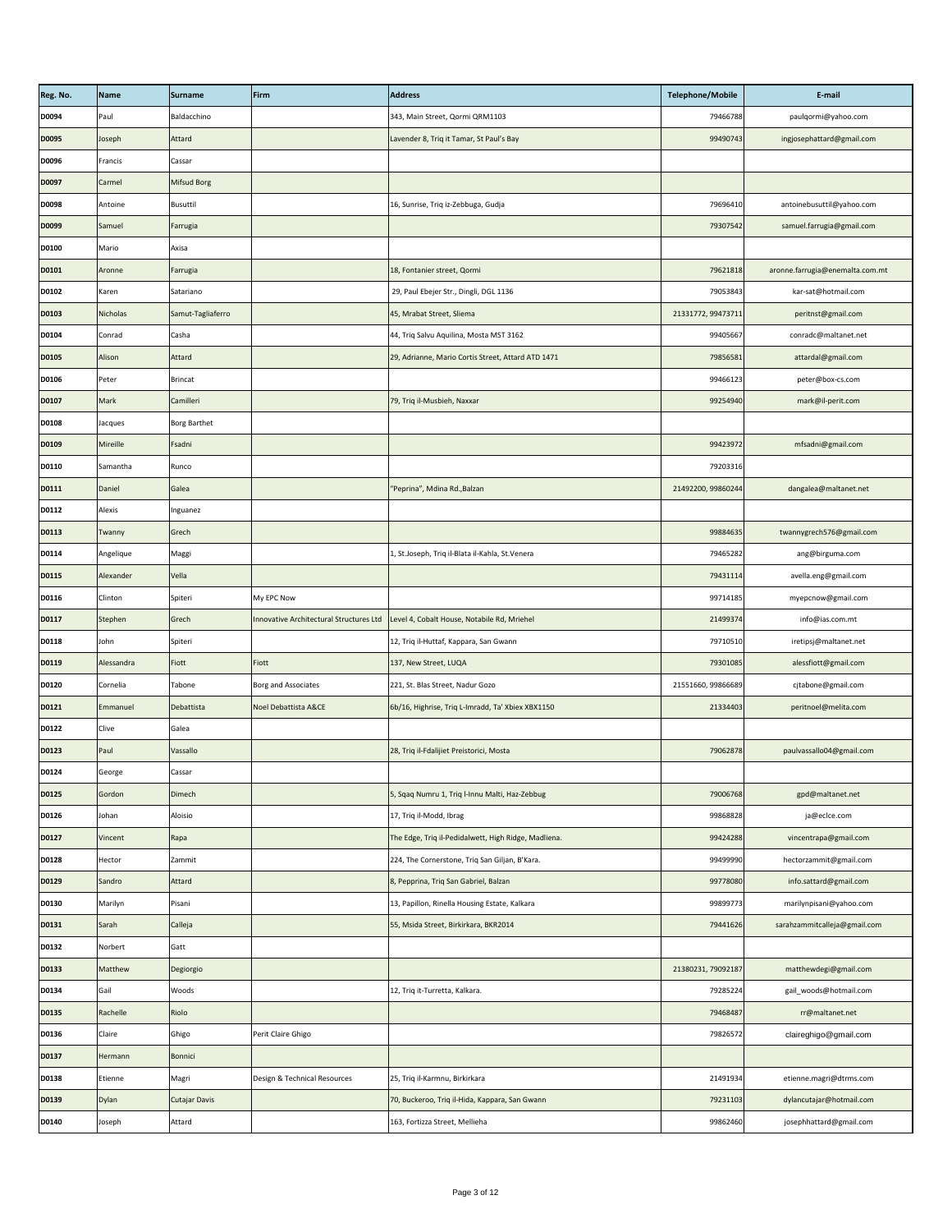| Reg. No.     | <b>Name</b>     | <b>Surname</b>      | Firm                         | <b>Address</b>                                                                        | <b>Telephone/Mobile</b> | E-mail                          |
|--------------|-----------------|---------------------|------------------------------|---------------------------------------------------------------------------------------|-------------------------|---------------------------------|
| D0094        | Paul            | Baldacchino         |                              | 343, Main Street, Qormi QRM1103                                                       | 79466788                | paulqormi@yahoo.com             |
| <b>D0095</b> | Joseph          | Attard              |                              | Lavender 8, Triq it Tamar, St Paul's Bay                                              | 99490743                | ingjosephattard@gmail.com       |
| D0096        | Francis         | Cassar              |                              |                                                                                       |                         |                                 |
| <b>D0097</b> | Carmel          | <b>Mifsud Borg</b>  |                              |                                                                                       |                         |                                 |
| D0098        | Antoine         | <b>Busuttil</b>     |                              | 16, Sunrise, Triq iz-Zebbuga, Gudja                                                   | 79696410                | antoinebusuttil@yahoo.com       |
| D0099        | Samuel          | Farrugia            |                              |                                                                                       | 79307542                | samuel.farrugia@gmail.com       |
| <b>D0100</b> | Mario           | Axisa               |                              |                                                                                       |                         |                                 |
| D0101        | Aronne          | Farrugia            |                              | 18, Fontanier street, Qormi                                                           | 79621818                | aronne.farrugia@enemalta.com.mt |
| D0102        | Karen           | Satariano           |                              | 29, Paul Ebejer Str., Dingli, DGL 1136                                                | 79053843                | kar-sat@hotmail.com             |
| D0103        | <b>Nicholas</b> | Samut-Tagliaferro   |                              | 45, Mrabat Street, Sliema                                                             | 21331772, 99473711      | peritnst@gmail.com              |
| D0104        | Conrad          | Casha               |                              | 44, Triq Salvu Aquilina, Mosta MST 3162                                               | 99405667                | conradc@maltanet.net            |
| <b>D0105</b> | Alison          | Attard              |                              | 29, Adrianne, Mario Cortis Street, Attard ATD 1471                                    | 79856581                | attardal@gmail.com              |
| D0106        | Peter           | <b>Brincat</b>      |                              |                                                                                       | 99466123                | peter@box-cs.com                |
| <b>D0107</b> | <b>Mark</b>     | Camilleri           |                              | 79, Triq il-Musbieh, Naxxar                                                           | 99254940                | mark@il-perit.com               |
| D0108        | Jacques         | <b>Borg Barthet</b> |                              |                                                                                       |                         |                                 |
| D0109        | Mireille        | Fsadni              |                              |                                                                                       | 99423972                | mfsadni@gmail.com               |
| <b>D0110</b> | Samantha        | Runco               |                              |                                                                                       | 79203316                |                                 |
| D0111        | Daniel          | Galea               |                              | "Peprina", Mdina Rd., Balzan                                                          | 21492200, 99860244      | dangalea@maltanet.net           |
| D0112        | Alexis          | Inguanez            |                              |                                                                                       |                         |                                 |
| D0113        | Twanny          | Grech               |                              |                                                                                       | 99884635                | twannygrech576@gmail.com        |
| D0114        | Angelique       | Maggi               |                              | 1, St.Joseph, Triq il-Blata il-Kahla, St.Venera                                       | 79465282                | ang@birguma.com                 |
| <b>D0115</b> | Alexander       | Vella               |                              |                                                                                       | 79431114                | avella.eng@gmail.com            |
| D0116        | Clinton         | Spiteri             | My EPC Now                   |                                                                                       | 99714185                | myepcnow@gmail.com              |
| D0117        | Stephen         | Grech               |                              | Innovative Architectural Structures Ltd   Level 4, Cobalt House, Notabile Rd, Mriehel | 21499374                | info@ias.com.mt                 |
| D0118        | John            | Spiteri             |                              | 12, Triq il-Huttaf, Kappara, San Gwann                                                | 79710510                | iretipsj@maltanet.net           |
| D0119        | Alessandra      | Fiott               | Fiott                        | 137, New Street, LUQA                                                                 | 79301085                | alessfiott@gmail.com            |
| D0120        | Cornelia        | Tabone              | <b>Borg and Associates</b>   | 221, St. Blas Street, Nadur Gozo                                                      | 21551660, 99866689      | cjtabone@gmail.com              |
| D0121        | Emmanuel        | Debattista          | Noel Debattista A&CE         | 6b/16, Highrise, Triq L-Imradd, Ta' Xbiex XBX1150                                     | 21334403                | peritnoel@melita.com            |
| D0122        | Clive           | Galea               |                              |                                                                                       |                         |                                 |
| <b>D0123</b> | Paul            | Vassallo            |                              | 28, Triq il-Fdalijiet Preistorici, Mosta                                              | 79062878                | paulvassallo04@gmail.com        |
| D0124        | George          | Cassar              |                              |                                                                                       |                         |                                 |
| <b>D0125</b> | Gordon          | <b>Dimech</b>       |                              | 5, Sqaq Numru 1, Triq I-Innu Malti, Haz-Zebbug                                        | 79006768                | gpd@maltanet.net                |
| D0126        | Johan           | Aloisio             |                              | 17, Triq il-Modd, Ibrag                                                               | 99868828                | ja@eclce.com                    |
| D0127        | Vincent         | Rapa                |                              | The Edge, Triq il-Pedidalwett, High Ridge, Madliena.                                  | 99424288                | vincentrapa@gmail.com           |
| D0128        | Hector          | Zammit              |                              | 224, The Cornerstone, Triq San Giljan, B'Kara.                                        | 99499990                | hectorzammit@gmail.com          |
| D0129        | Sandro          | Attard              |                              | 8, Pepprina, Triq San Gabriel, Balzan                                                 | 99778080                | info.sattard@gmail.com          |
| D0130        | Marilyn         | Pisani              |                              | 13, Papillon, Rinella Housing Estate, Kalkara                                         | 99899773                | marilynpisani@yahoo.com         |
| D0131        | Sarah           | Calleja             |                              | 55, Msida Street, Birkirkara, BKR2014                                                 | 79441626                | sarahzammitcalleja@gmail.com    |
| D0132        | Norbert         | Gatt                |                              |                                                                                       |                         |                                 |
| <b>D0133</b> | Matthew         | Degiorgio           |                              |                                                                                       | 21380231, 79092187      | matthewdegi@gmail.com           |
| D0134        | Gail            | Woods               |                              | 12, Triq it-Turretta, Kalkara.                                                        | 79285224                | gail_woods@hotmail.com          |
| <b>D0135</b> | Rachelle        | Riolo               |                              |                                                                                       | 79468487                | rr@maltanet.net                 |
| D0136        | Claire          | Ghigo               | Perit Claire Ghigo           |                                                                                       | 79826572                | claireghigo@gmail.com           |
| D0137        | Hermann         | Bonnici             |                              |                                                                                       |                         |                                 |
| <b>D0138</b> | Etienne         | Magri               | Design & Technical Resources | 25, Triq il-Karmnu, Birkirkara                                                        | 21491934                | etienne.magri@dtrms.com         |
| D0139        | <b>Dylan</b>    | Cutajar Davis       |                              | 70, Buckeroo, Triq il-Hida, Kappara, San Gwann                                        | 79231103                | dylancutajar@hotmail.com        |
| D0140        | Joseph          | Attard              |                              | 163, Fortizza Street, Mellieha                                                        | 99862460                | josephhattard@gmail.com         |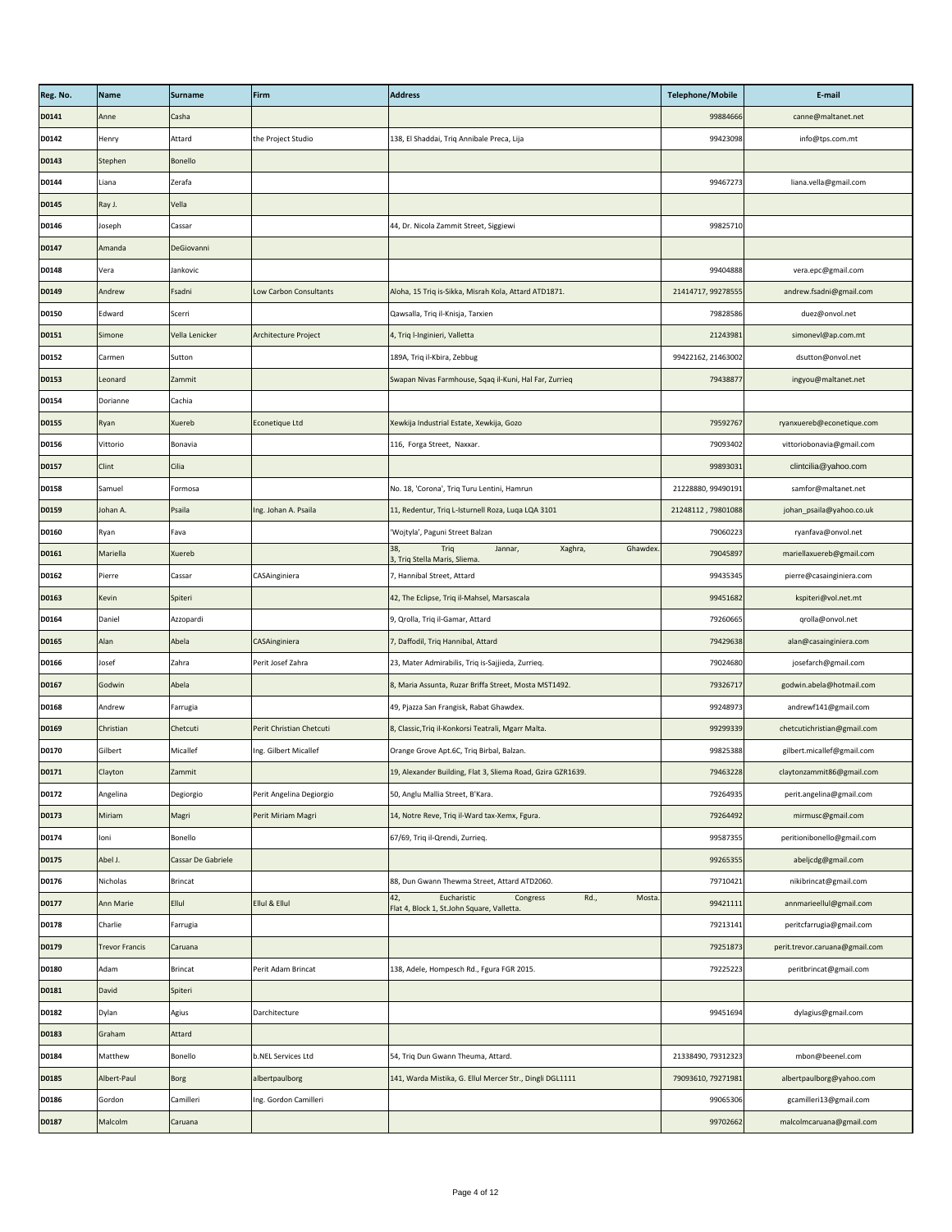| Reg. No.     | Name                  | Surname            | Firm                     | <b>Address</b>                                                                                 | <b>Telephone/Mobile</b> | E-mail                         |
|--------------|-----------------------|--------------------|--------------------------|------------------------------------------------------------------------------------------------|-------------------------|--------------------------------|
| D0141        | Anne                  | Casha              |                          |                                                                                                | 99884666                | canne@maltanet.net             |
| D0142        | Henry                 | Attard             | the Project Studio       | 138, El Shaddai, Triq Annibale Preca, Lija                                                     | 99423098                | info@tps.com.mt                |
| D0143        | Stephen               | <b>Bonello</b>     |                          |                                                                                                |                         |                                |
| D0144        | Liana                 | Zerafa             |                          |                                                                                                | 99467273                | liana.vella@gmail.com          |
| <b>D0145</b> | Ray J.                | Vella              |                          |                                                                                                |                         |                                |
| D0146        | Joseph                | Cassar             |                          | 44, Dr. Nicola Zammit Street, Siggiewi                                                         | 99825710                |                                |
| D0147        | Amanda                | DeGiovanni         |                          |                                                                                                |                         |                                |
| D0148        | Vera                  | Jankovic           |                          |                                                                                                | 99404888                | vera.epc@gmail.com             |
| D0149        | Andrew                | Fsadni             | Low Carbon Consultants   | Aloha, 15 Triq is-Sikka, Misrah Kola, Attard ATD1871.                                          | 21414717, 99278555      | andrew.fsadni@gmail.com        |
| <b>D0150</b> | Edward                | Scerri             |                          | Qawsalla, Triq il-Knisja, Tarxien                                                              | 79828586                | duez@onvol.net                 |
| D0151        | Simone                | Vella Lenicker     | Architecture Project     | 4, Triq I-Inginieri, Valletta                                                                  | 21243981                | simonevl@ap.com.mt             |
| D0152        | Carmen                | Sutton             |                          | 189A, Triq il-Kbira, Zebbug                                                                    | 99422162, 21463002      | dsutton@onvol.net              |
| <b>D0153</b> | Leonard               | Zammit             |                          | Swapan Nivas Farmhouse, Sqaq il-Kuni, Hal Far, Zurrieq                                         | 79438877                | ingyou@maltanet.net            |
| D0154        | Dorianne              | Cachia             |                          |                                                                                                |                         |                                |
| <b>D0155</b> | Ryan                  | Xuereb             | Econetique Ltd           | Xewkija Industrial Estate, Xewkija, Gozo                                                       | 79592767                | ryanxuereb@econetique.com      |
| <b>D0156</b> | Vittorio              | Bonavia            |                          | 116, Forga Street, Naxxar.                                                                     | 79093402                | vittoriobonavia@gmail.com      |
| <b>D0157</b> | <b>Clint</b>          | <b>Cilia</b>       |                          |                                                                                                | 99893031                | clintcilia@yahoo.com           |
| <b>D0158</b> | Samuel                | Formosa            |                          | No. 18, 'Corona', Triq Turu Lentini, Hamrun                                                    | 21228880, 99490191      | samfor@maltanet.net            |
| D0159        | Johan A.              | Psaila             | Ing. Johan A. Psaila     | 11, Redentur, Triq L-Isturnell Roza, Luqa LQA 3101                                             | 21248112, 79801088      | johan_psaila@yahoo.co.uk       |
| <b>D0160</b> | Ryan                  | Fava               |                          | 'Wojtyla', Paguni Street Balzan                                                                | 79060223                | ryanfava@onvol.net             |
| D0161        | Mariella              | <b>Xuereb</b>      |                          | Ghawdex.<br>38,<br>Triq<br>Xaghra,<br>Jannar,<br>3, Triq Stella Maris, Sliema.                 | 79045897                | mariellaxuereb@gmail.com       |
| D0162        | Pierre                | Cassar             | CASAinginiera            | 7, Hannibal Street, Attard                                                                     | 99435345                | pierre@casainginiera.com       |
| <b>D0163</b> | Kevin                 | Spiteri            |                          | 42, The Eclipse, Triq il-Mahsel, Marsascala                                                    | 99451682                | kspiteri@vol.net.mt            |
| D0164        | Daniel                | Azzopardi          |                          | 9, Qrolla, Triq il-Gamar, Attard                                                               | 79260665                | qrolla@onvol.net               |
| <b>D0165</b> | Alan                  | Abela              | CASAinginiera            | 7, Daffodil, Triq Hannibal, Attard                                                             | 79429638                | alan@casainginiera.com         |
| <b>D0166</b> | Josef                 | Zahra              | Perit Josef Zahra        | 23, Mater Admirabilis, Triq is-Sajjieda, Zurrieq.                                              | 79024680                | josefarch@gmail.com            |
| <b>D0167</b> | Godwin                | Abela              |                          | 8, Maria Assunta, Ruzar Briffa Street, Mosta MST1492.                                          | 79326717                | godwin.abela@hotmail.com       |
| <b>D0168</b> | Andrew                | Farrugia           |                          | 49, Pjazza San Frangisk, Rabat Ghawdex.                                                        | 99248973                | andrewf141@gmail.com           |
| D0169        | Christian             | Chetcuti           | Perit Christian Chetcuti | 8, Classic, Triq il-Konkorsi Teatrali, Mgarr Malta.                                            | 99299339                | chetcutichristian@gmail.com    |
| <b>D0170</b> | Gilbert               | Micallef           | Ing. Gilbert Micallef    | Orange Grove Apt.6C, Triq Birbal, Balzan.                                                      | 99825388                | gilbert.micallef@gmail.com     |
| D0171        | Clayton               | Zammit             |                          | 19, Alexander Building, Flat 3, Sliema Road, Gzira GZR1639.                                    | 79463228                | claytonzammit86@gmail.com      |
| D0172        | Angelina              | Degiorgio          | Perit Angelina Degiorgio | 50, Anglu Mallia Street, B'Kara.                                                               | 79264935                | perit.angelina@gmail.com       |
| D0173        | Miriam                | Magri              | Perit Miriam Magri       | 14, Notre Reve, Triq il-Ward tax-Xemx, Fgura.                                                  | 79264492                | mirmusc@gmail.com              |
| D0174        | loni                  | Bonello            |                          | 67/69, Triq il-Qrendi, Zurrieq.                                                                | 99587355                | peritionibonello@gmail.com     |
| <b>D0175</b> | Abel J.               | Cassar De Gabriele |                          |                                                                                                | 99265355                | abeljcdg@gmail.com             |
| D0176        | Nicholas              | <b>Brincat</b>     |                          | 88, Dun Gwann Thewma Street, Attard ATD2060.                                                   | 79710421                | nikibrincat@gmail.com          |
| D0177        | <b>Ann Marie</b>      | Ellul              | Ellul & Ellul            | Eucharistic<br>Rd.,<br>Mosta.<br>42,<br>Congress<br>Flat 4, Block 1, St.John Square, Valletta. | 99421111                | annmarieellul@gmail.com        |
| D0178        | Charlie               | Farrugia           |                          |                                                                                                | 79213141                | peritcfarrugia@gmail.com       |
| D0179        | <b>Trevor Francis</b> | Caruana            |                          |                                                                                                | 79251873                | perit.trevor.caruana@gmail.com |
| <b>D0180</b> | Adam                  | <b>Brincat</b>     | Perit Adam Brincat       | 138, Adele, Hompesch Rd., Fgura FGR 2015.                                                      | 79225223                | peritbrincat@gmail.com         |
| D0181        | David                 | Spiteri            |                          |                                                                                                |                         |                                |
| D0182        | Dylan                 | Agius              | Darchitecture            |                                                                                                | 99451694                | dylagius@gmail.com             |
| <b>D0183</b> | Graham                | Attard             |                          |                                                                                                |                         |                                |
| D0184        | Matthew               | Bonello            | b.NEL Services Ltd       | 54, Triq Dun Gwann Theuma, Attard.                                                             | 21338490, 79312323      | mbon@beenel.com                |
| <b>D0185</b> | Albert-Paul           | <b>Borg</b>        | albertpaulborg           | 141, Warda Mistika, G. Ellul Mercer Str., Dingli DGL1111                                       | 79093610, 79271981      | albertpaulborg@yahoo.com       |
| D0186        | Gordon                | Camilleri          | Ing. Gordon Camilleri    |                                                                                                | 99065306                | gcamilleri13@gmail.com         |
| <b>D0187</b> | Malcolm               | Caruana            |                          |                                                                                                | 99702662                | malcolmcaruana@gmail.com       |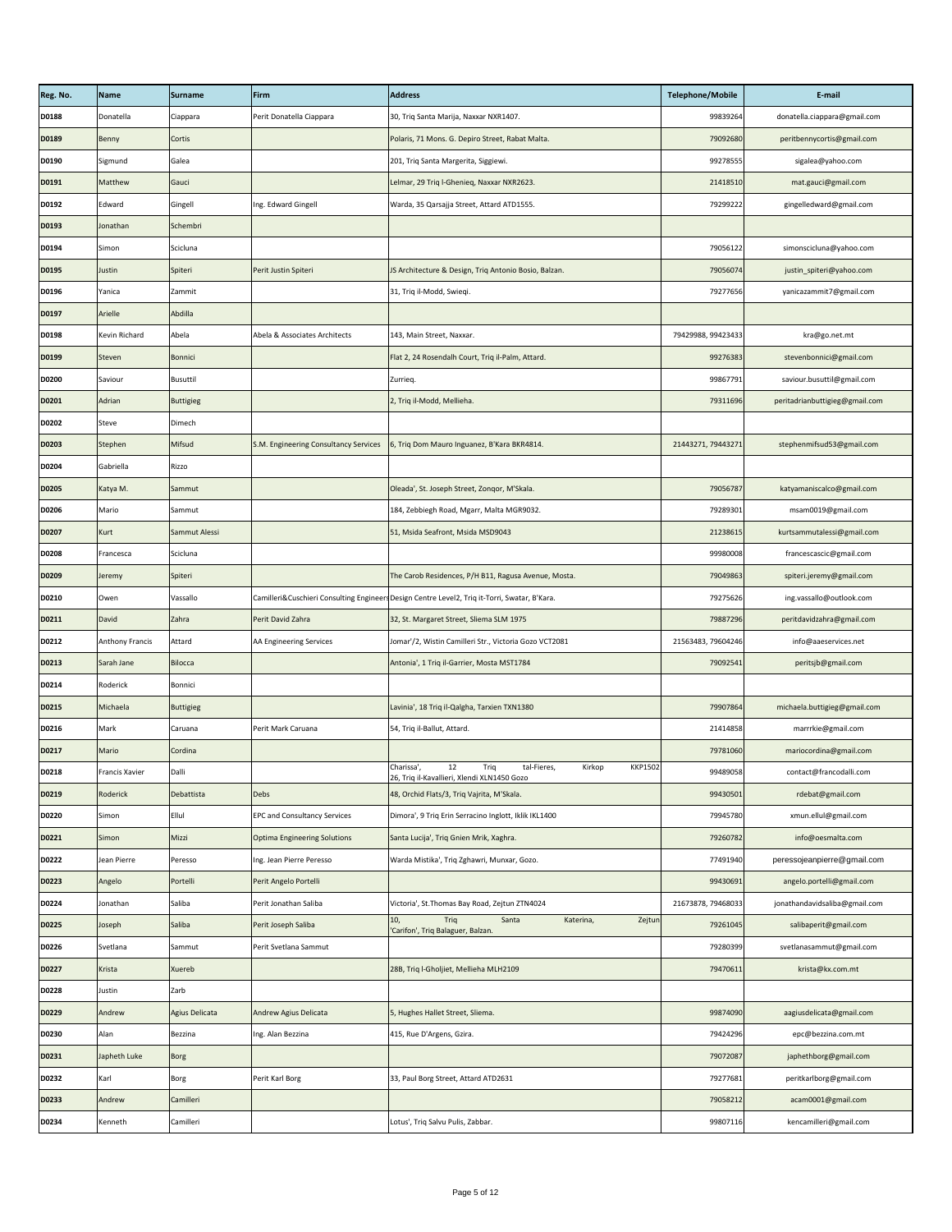| Reg. No.     | <b>Name</b>            | <b>Surname</b>        | Firm                                  | <b>Address</b>                                                                                                     | <b>Telephone/Mobile</b> | E-mail                         |
|--------------|------------------------|-----------------------|---------------------------------------|--------------------------------------------------------------------------------------------------------------------|-------------------------|--------------------------------|
| <b>D0188</b> | Donatella              | Ciappara              | Perit Donatella Ciappara              | 30, Triq Santa Marija, Naxxar NXR1407.                                                                             | 99839264                | donatella.ciappara@gmail.com   |
| <b>D0189</b> | Benny                  | Cortis                |                                       | Polaris, 71 Mons. G. Depiro Street, Rabat Malta.                                                                   | 79092680                | peritbennycortis@gmail.com     |
| D0190        | Sigmund                | Galea                 |                                       | 201, Triq Santa Margerita, Siggiewi.                                                                               | 99278555                | sigalea@yahoo.com              |
| D0191        | Matthew                | Gauci                 |                                       | Lelmar, 29 Triq l-Ghenieq, Naxxar NXR2623.                                                                         | 21418510                | mat.gauci@gmail.com            |
| D0192        | Edward                 | Gingell               | Ing. Edward Gingell                   | Warda, 35 Qarsajja Street, Attard ATD1555.                                                                         | 79299222                | gingelledward@gmail.com        |
| D0193        | Jonathan               | Schembri              |                                       |                                                                                                                    |                         |                                |
| D0194        | Simon                  | Scicluna              |                                       |                                                                                                                    | 79056122                | simonscicluna@yahoo.com        |
| <b>D0195</b> | Justin                 | Spiteri               | Perit Justin Spiteri                  | JS Architecture & Design, Triq Antonio Bosio, Balzan.                                                              | 79056074                | justin_spiteri@yahoo.com       |
| D0196        | Yanica                 | Zammit                |                                       | 31, Triq il-Modd, Swieqi.                                                                                          | 79277656                | yanicazammit7@gmail.com        |
| D0197        | Arielle                | Abdilla               |                                       |                                                                                                                    |                         |                                |
| D0198        | Kevin Richard          | Abela                 | Abela & Associates Architects         | 143, Main Street, Naxxar.                                                                                          | 79429988, 99423433      | kra@go.net.mt                  |
| D0199        | <b>Steven</b>          | <b>Bonnici</b>        |                                       | Flat 2, 24 Rosendalh Court, Triq il-Palm, Attard.                                                                  | 99276383                | stevenbonnici@gmail.com        |
| <b>D0200</b> | Saviour                | <b>Busuttil</b>       |                                       | Zurrieg.                                                                                                           | 99867791                | saviour.busuttil@gmail.com     |
| D0201        | Adrian                 | <b>Buttigieg</b>      |                                       | 2, Triq il-Modd, Mellieha.                                                                                         | 79311696                | peritadrianbuttigieg@gmail.com |
| D0202        | Steve                  | Dimech                |                                       |                                                                                                                    |                         |                                |
| <b>D0203</b> | Stephen                | Mifsud                | S.M. Engineering Consultancy Services | 6, Triq Dom Mauro Inguanez, B'Kara BKR4814.                                                                        | 21443271, 79443271      | stephenmifsud53@gmail.com      |
| D0204        | Gabriella              | Rizzo                 |                                       |                                                                                                                    |                         |                                |
| <b>D0205</b> | Katya M.               | Sammut                |                                       | Oleada', St. Joseph Street, Zongor, M'Skala.                                                                       | 79056787                | katyamaniscalco@gmail.com      |
| D0206        | Mario                  | Sammut                |                                       | 184, Zebbiegh Road, Mgarr, Malta MGR9032.                                                                          | 79289301                | msam0019@gmail.com             |
| D0207        | <b>Kurt</b>            | Sammut Alessi         |                                       | 51, Msida Seafront, Msida MSD9043                                                                                  | 21238615                | kurtsammutalessi@gmail.com     |
| <b>D0208</b> | Francesca              | Scicluna              |                                       |                                                                                                                    | 99980008                | francescascic@gmail.com        |
| D0209        | Jeremy                 | Spiteri               |                                       | The Carob Residences, P/H B11, Ragusa Avenue, Mosta.                                                               | 79049863                | spiteri.jeremy@gmail.com       |
| D0210        | Owen                   | Vassallo              |                                       | Camilleri&Cuschieri Consulting Engineers Design Centre Level2, Triq it-Torri, Swatar, B'Kara.                      | 79275626                | ing.vassallo@outlook.com       |
| D0211        | <b>David</b>           | Zahra                 | Perit David Zahra                     | 32, St. Margaret Street, Sliema SLM 1975                                                                           | 79887296                | peritdavidzahra@gmail.com      |
| D0212        | <b>Anthony Francis</b> | Attard                | AA Engineering Services               | Jomar'/2, Wistin Camilleri Str., Victoria Gozo VCT2081                                                             | 21563483, 79604246      | info@aaeservices.net           |
| D0213        | Sarah Jane             | Bilocca               |                                       | Antonia', 1 Triq il-Garrier, Mosta MST1784                                                                         | 79092541                | peritsjb@gmail.com             |
| D0214        | Roderick               | Bonnici               |                                       |                                                                                                                    |                         |                                |
| D0215        | Michaela               | Buttigieg             |                                       | Lavinia', 18 Triq il-Qalgha, Tarxien TXN1380                                                                       | 79907864                | michaela.buttigieg@gmail.com   |
| D0216        | Mark                   | Caruana               | Perit Mark Caruana                    | 54, Triq il-Ballut, Attard.                                                                                        | 21414858                | marrrkie@gmail.com             |
| D0217        | Mario                  | Cordina               |                                       |                                                                                                                    | 79781060                | mariocordina@gmail.com         |
| D0218        | Francis Xavier         | Dalli                 |                                       | 12<br><b>KKP1502</b><br>Triq<br>tal-Fieres,<br>Kirkop<br>Charissa',<br>26, Triq il-Kavallieri, Xlendi XLN1450 Gozo | 99489058                | contact@francodalli.com        |
| D0219        | Roderick               | Debattista            | Debs                                  | 48, Orchid Flats/3, Triq Vajrita, M'Skala.                                                                         | 99430501                | rdebat@gmail.com               |
| D0220        | Simon                  | Ellul                 | <b>EPC and Consultancy Services</b>   | Dimora', 9 Triq Erin Serracino Inglott, Iklik IKL1400                                                              | 79945780                | xmun.ellul@gmail.com           |
| D0221        | Simon                  | Mizzi                 | <b>Optima Engineering Solutions</b>   | Santa Lucija', Triq Gnien Mrik, Xaghra.                                                                            | 79260782                | info@oesmalta.com              |
| D0222        | Jean Pierre            | Peresso               | Ing. Jean Pierre Peresso              | Warda Mistika', Triq Zghawri, Munxar, Gozo.                                                                        | 77491940                | peressojeanpierre@gmail.com    |
| <b>D0223</b> | Angelo                 | Portelli              | Perit Angelo Portelli                 |                                                                                                                    | 99430691                | angelo.portelli@gmail.com      |
| D0224        | Jonathan               | Saliba                | Perit Jonathan Saliba                 | Victoria', St. Thomas Bay Road, Zejtun ZTN4024                                                                     | 21673878, 79468033      | jonathandavidsaliba@gmail.com  |
| <b>D0225</b> | Joseph                 | Saliba                | Perit Joseph Saliba                   | Zejtun<br>10,<br>Santa<br>Katerina,<br>Triq<br>'Carifon', Triq Balaguer, Balzan.                                   | 79261045                | salibaperit@gmail.com          |
| D0226        | Svetlana               | Sammut                | Perit Svetlana Sammut                 |                                                                                                                    | 79280399                | svetlanasammut@gmail.com       |
| D0227        | Krista                 | Xuereb                |                                       | 28B, Triq l-Gholjiet, Mellieha MLH2109                                                                             | 79470611                | krista@kx.com.mt               |
| D0228        | Justin                 | Zarb                  |                                       |                                                                                                                    |                         |                                |
| D0229        | Andrew                 | <b>Agius Delicata</b> | Andrew Agius Delicata                 | 5, Hughes Hallet Street, Sliema.                                                                                   | 99874090                | aagiusdelicata@gmail.com       |
| D0230        | Alan                   | Bezzina               | Ing. Alan Bezzina                     | 415, Rue D'Argens, Gzira.                                                                                          | 79424296                | epc@bezzina.com.mt             |
| D0231        | Japheth Luke           | Borg                  |                                       |                                                                                                                    | 79072087                | japhethborg@gmail.com          |
| D0232        | Karl                   | <b>Borg</b>           | Perit Karl Borg                       | 33, Paul Borg Street, Attard ATD2631                                                                               | 79277681                | peritkarlborg@gmail.com        |
| <b>D0233</b> | Andrew                 | Camilleri             |                                       |                                                                                                                    | 79058212                | acam0001@gmail.com             |
| D0234        | Kenneth                | Camilleri             |                                       | Lotus', Triq Salvu Pulis, Zabbar.                                                                                  | 99807116                | kencamilleri@gmail.com         |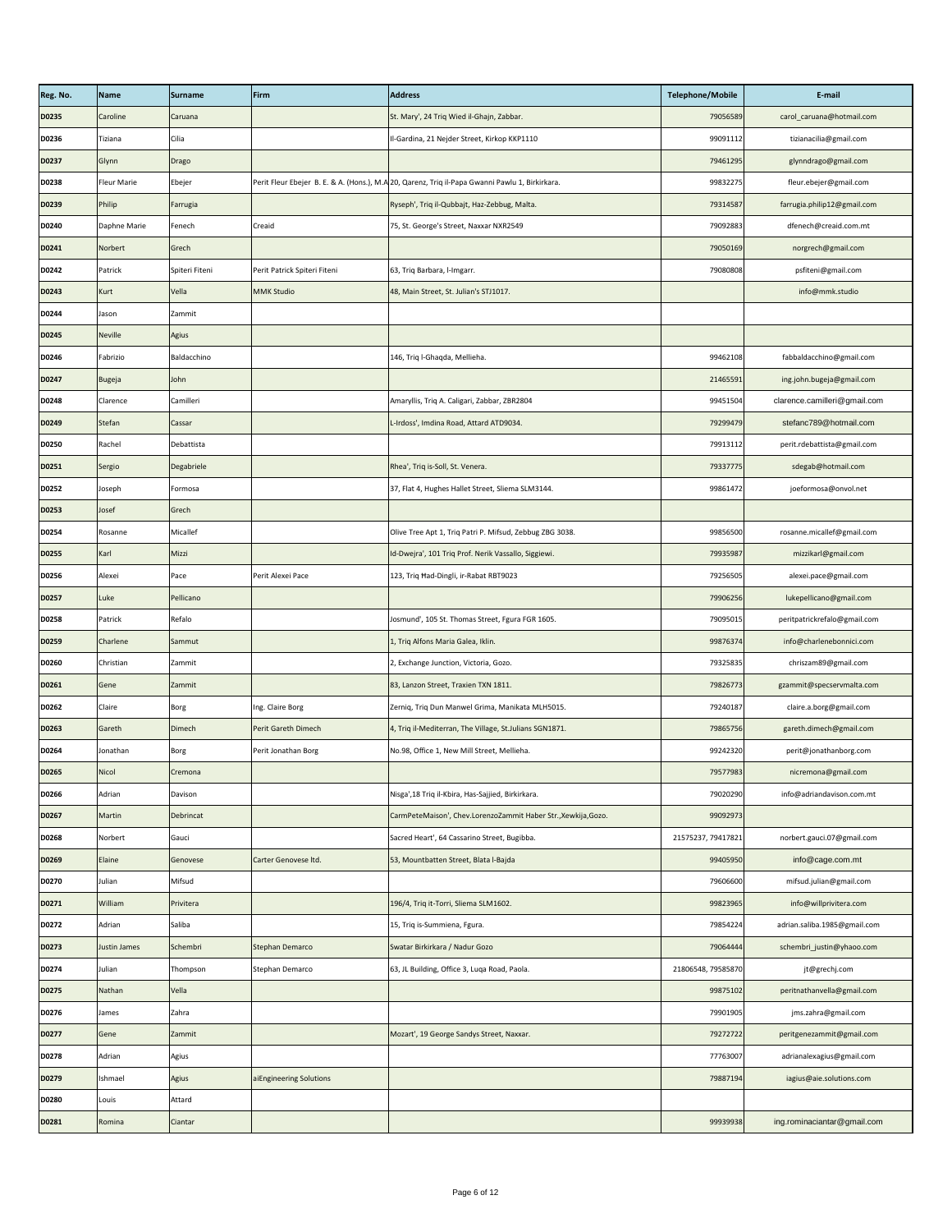| Reg. No.     | <b>Name</b>        | <b>Surname</b> | Firm                         | <b>Address</b>                                                                                  | <b>Telephone/Mobile</b> | E-mail                       |
|--------------|--------------------|----------------|------------------------------|-------------------------------------------------------------------------------------------------|-------------------------|------------------------------|
| D0235        | Caroline           | Caruana        |                              | St. Mary', 24 Triq Wied il-Ghajn, Zabbar.                                                       | 79056589                | carol_caruana@hotmail.com    |
| D0236        | Tiziana            | Cilia          |                              | Il-Gardina, 21 Nejder Street, Kirkop KKP1110                                                    | 99091112                | tizianacilia@gmail.com       |
| D0237        | Glynn              | Drago          |                              |                                                                                                 | 79461295                | glynndrago@gmail.com         |
| <b>D0238</b> | <b>Fleur Marie</b> | Ebejer         |                              | Perit Fleur Ebejer B. E. & A. (Hons.), M.A 20, Qarenz, Triq il-Papa Gwanni Pawlu 1, Birkirkara. | 99832275                | fleur.ebejer@gmail.com       |
| D0239        | Philip             | Farrugia       |                              | Ryseph', Triq il-Qubbajt, Haz-Zebbug, Malta.                                                    | 79314587                | farrugia.philip12@gmail.com  |
| D0240        | Daphne Marie       | Fenech         | Creaid                       | 75, St. George's Street, Naxxar NXR2549                                                         | 79092883                | dfenech@creaid.com.mt        |
| D0241        | Norbert            | Grech          |                              |                                                                                                 | 79050169                | norgrech@gmail.com           |
| D0242        | Patrick            | Spiteri Fiteni | Perit Patrick Spiteri Fiteni | 63, Triq Barbara, I-Imgarr.                                                                     | 79080808                | psfiteni@gmail.com           |
| <b>D0243</b> | <b>Kurt</b>        | Vella          | <b>MMK Studio</b>            | 48, Main Street, St. Julian's STJ1017.                                                          |                         | info@mmk.studio              |
| D0244        | Jason              | Zammit         |                              |                                                                                                 |                         |                              |
| D0245        | <b>Neville</b>     | <b>Agius</b>   |                              |                                                                                                 |                         |                              |
| D0246        | Fabrizio           | Baldacchino    |                              | 146, Triq I-Ghaqda, Mellieha.                                                                   | 99462108                | fabbaldacchino@gmail.com     |
| D0247        | <b>Bugeja</b>      | John           |                              |                                                                                                 | 21465591                | ing.john.bugeja@gmail.com    |
| D0248        | Clarence           | Camilleri      |                              | Amaryllis, Triq A. Caligari, Zabbar, ZBR2804                                                    | 99451504                | clarence.camilleri@gmail.com |
| D0249        | <b>Stefan</b>      | Cassar         |                              | L-Irdoss', Imdina Road, Attard ATD9034.                                                         | 79299479                | stefanc789@hotmail.com       |
| <b>D0250</b> | Rachel             | Debattista     |                              |                                                                                                 | 79913112                | perit.rdebattista@gmail.com  |
| D0251        | Sergio             | Degabriele     |                              | Rhea', Triq is-Soll, St. Venera.                                                                | 79337775                | sdegab@hotmail.com           |
| D0252        | Joseph             | Formosa        |                              | 37, Flat 4, Hughes Hallet Street, Sliema SLM3144.                                               | 99861472                | joeformosa@onvol.net         |
| D0253        | Josef              | Grech          |                              |                                                                                                 |                         |                              |
| D0254        | Rosanne            | Micallef       |                              | Olive Tree Apt 1, Triq Patri P. Mifsud, Zebbug ZBG 3038.                                        | 99856500                | rosanne.micallef@gmail.com   |
| <b>D0255</b> | Karl               | Mizzi          |                              | Id-Dwejra', 101 Triq Prof. Nerik Vassallo, Siggiewi.                                            | 79935987                | mizzikarl@gmail.com          |
| D0256        | Alexei             | Pace           | Perit Alexei Pace            | 123, Triq Had-Dingli, ir-Rabat RBT9023                                                          | 79256505                | alexei.pace@gmail.com        |
| D0257        | Luke               | Pellicano      |                              |                                                                                                 | 79906256                | lukepellicano@gmail.com      |
| <b>D0258</b> | Patrick            | Refalo         |                              | Josmund', 105 St. Thomas Street, Fgura FGR 1605.                                                | 79095015                | peritpatrickrefalo@gmail.com |
| <b>D0259</b> | Charlene           | Sammut         |                              | 1, Triq Alfons Maria Galea, Iklin.                                                              | 99876374                | info@charlenebonnici.com     |
| <b>D0260</b> | Christian          | Zammit         |                              | 2, Exchange Junction, Victoria, Gozo.                                                           | 79325835                | chriszam89@gmail.com         |
| D0261        | Gene               | Zammit         |                              | 83, Lanzon Street, Traxien TXN 1811.                                                            | 79826773                | gzammit@specservmalta.com    |
| D0262        | Claire             | Borg           | Ing. Claire Borg             | Zerniq, Triq Dun Manwel Grima, Manikata MLH5015.                                                | 79240187                | claire.a.borg@gmail.com      |
| <b>D0263</b> | Gareth             | <b>Dimech</b>  | Perit Gareth Dimech          | 4, Triq il-Mediterran, The Village, St.Julians SGN1871.                                         | 79865756                | gareth.dimech@gmail.com      |
| D0264        | Jonathan           | <b>Borg</b>    | Perit Jonathan Borg          | No.98, Office 1, New Mill Street, Mellieha.                                                     | 99242320                | perit@jonathanborg.com       |
| <b>D0265</b> | <b>Nicol</b>       | Cremona        |                              |                                                                                                 | 79577983                | nicremona@gmail.com          |
| D0266        | Adrian             | Davison        |                              | Nisga', 18 Triq il-Kbira, Has-Sajjied, Birkirkara.                                              | 79020290                | info@adriandavison.com.mt    |
| D0267        | Martin             | Debrincat      |                              | CarmPeteMaison', Chev.LorenzoZammit Haber Str., Xewkija, Gozo.                                  | 99092973                |                              |
| D0268        | Norbert            | Gauci          |                              | Sacred Heart', 64 Cassarino Street, Bugibba.                                                    | 21575237, 79417821      | norbert.gauci.07@gmail.com   |
| D0269        | Elaine             | Genovese       | Carter Genovese Itd.         | 53, Mountbatten Street, Blata l-Bajda                                                           | 99405950                | info@cage.com.mt             |
| D0270        | Julian             | Mifsud         |                              |                                                                                                 | 79606600                | mifsud.julian@gmail.com      |
| D0271        | William            | Privitera      |                              | 196/4, Triq it-Torri, Sliema SLM1602.                                                           | 99823965                | info@willprivitera.com       |
| D0272        | Adrian             | Saliba         |                              | 15, Triq is-Summiena, Fgura.                                                                    | 79854224                | adrian.saliba.1985@gmail.com |
| D0273        | Justin James       | Schembri       | <b>Stephan Demarco</b>       | Swatar Birkirkara / Nadur Gozo                                                                  | 79064444                | schembri_justin@yhaoo.com    |
| D0274        | Julian             | Thompson       | Stephan Demarco              | 63, JL Building, Office 3, Luqa Road, Paola.                                                    | 21806548, 79585870      | jt@grechj.com                |
| <b>D0275</b> | Nathan             | Vella          |                              |                                                                                                 | 99875102                | peritnathanvella@gmail.com   |
| D0276        | James              | Zahra          |                              |                                                                                                 | 79901905                | jms.zahra@gmail.com          |
| D0277        | Gene               | Zammit         |                              | Mozart', 19 George Sandys Street, Naxxar.                                                       | 79272722                | peritgenezammit@gmail.com    |
| D0278        | Adrian             | Agius          |                              |                                                                                                 | 77763007                | adrianalexagius@gmail.com    |
| D0279        | Ishmael            | Agius          | aiEngineering Solutions      |                                                                                                 | 79887194                | iagius@aie.solutions.com     |
| D0280        | Louis              | Attard         |                              |                                                                                                 |                         |                              |
| D0281        | Romina             | Ciantar        |                              |                                                                                                 | 99939938                | ing.rominaciantar@gmail.com  |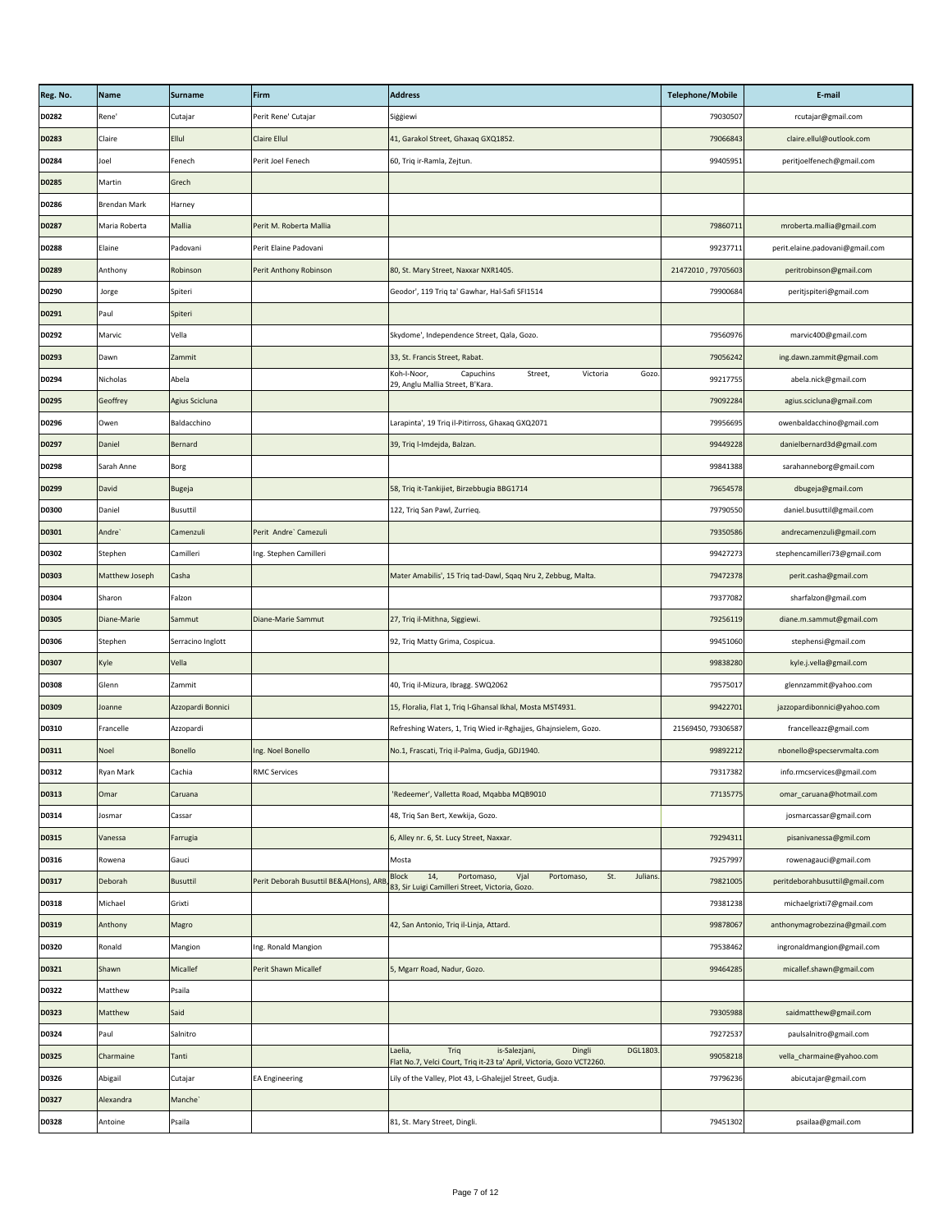| Reg. No.     | Name                | Surname           | Firm                                    | <b>Address</b>                                                                                                                  | <b>Telephone/Mobile</b> | E-mail                          |
|--------------|---------------------|-------------------|-----------------------------------------|---------------------------------------------------------------------------------------------------------------------------------|-------------------------|---------------------------------|
| D0282        | Rene'               | Cutajar           | Perit Rene' Cutajar                     | Siggiewi                                                                                                                        | 79030507                | rcutajar@gmail.com              |
| <b>D0283</b> | <b>Claire</b>       | <b>Ellul</b>      | <b>Claire Ellul</b>                     | 41, Garakol Street, Ghaxaq GXQ1852.                                                                                             | 79066843                | claire.ellul@outlook.com        |
| D0284        | Joel                | Fenech            | Perit Joel Fenech                       | 60, Triq ir-Ramla, Zejtun.                                                                                                      | 99405951                | peritjoelfenech@gmail.com       |
| <b>D0285</b> | Martin              | Grech             |                                         |                                                                                                                                 |                         |                                 |
| D0286        | <b>Brendan Mark</b> | Harney            |                                         |                                                                                                                                 |                         |                                 |
| <b>D0287</b> | Maria Roberta       | <b>Mallia</b>     | Perit M. Roberta Mallia                 |                                                                                                                                 | 79860711                | mroberta.mallia@gmail.com       |
| <b>D0288</b> | Elaine              | Padovani          | Perit Elaine Padovani                   |                                                                                                                                 | 99237711                | perit.elaine.padovani@gmail.com |
| D0289        | Anthony             | Robinson          | Perit Anthony Robinson                  | 80, St. Mary Street, Naxxar NXR1405.                                                                                            | 21472010, 79705603      | peritrobinson@gmail.com         |
| D0290        | Jorge               | Spiteri           |                                         | Geodor', 119 Triq ta' Gawhar, Hal-Safi SFI1514                                                                                  | 79900684                | peritjspiteri@gmail.com         |
| D0291        | Paul                | Spiteri           |                                         |                                                                                                                                 |                         |                                 |
| D0292        | Marvic              | Vella             |                                         | Skydome', Independence Street, Qala, Gozo.                                                                                      | 79560976                | marvic400@gmail.com             |
| D0293        | Dawn                | Zammit            |                                         | 33, St. Francis Street, Rabat.                                                                                                  | 79056242                | ing.dawn.zammit@gmail.com       |
| D0294        | Nicholas            | Abela             |                                         | Capuchins<br>Victoria<br>Gozo.<br>Koh-I-Noor,<br>Street,<br>29, Anglu Mallia Street, B'Kara.                                    | 99217755                | abela.nick@gmail.com            |
| D0295        | Geoffrey            | Agius Scicluna    |                                         |                                                                                                                                 | 79092284                | agius.scicluna@gmail.com        |
| D0296        | Owen                | Baldacchino       |                                         | Larapinta', 19 Triq il-Pitirross, Ghaxaq GXQ2071                                                                                | 79956695                | owenbaldacchino@gmail.com       |
| D0297        | Daniel              | Bernard           |                                         | 39, Triq l-Imdejda, Balzan.                                                                                                     | 99449228                | danielbernard3d@gmail.com       |
| D0298        | Sarah Anne          | Borg              |                                         |                                                                                                                                 | 99841388                | sarahanneborg@gmail.com         |
| D0299        | David               | Bugeja            |                                         | 58, Triq it-Tankijiet, Birzebbugia BBG1714                                                                                      | 79654578                | dbugeja@gmail.com               |
| <b>D0300</b> | Daniel              | Busuttil          |                                         | 122, Triq San Pawl, Zurrieq.                                                                                                    | 79790550                | daniel.busuttil@gmail.com       |
| D0301        | Andre`              | Camenzuli         | Perit Andre` Camezuli                   |                                                                                                                                 | 79350586                | andrecamenzuli@gmail.com        |
| <b>D0302</b> | Stephen             | Camilleri         | Ing. Stephen Camilleri                  |                                                                                                                                 | 99427273                | stephencamilleri73@gmail.com    |
| <b>D0303</b> | Matthew Joseph      | Casha             |                                         | Mater Amabilis', 15 Triq tad-Dawl, Sqaq Nru 2, Zebbug, Malta.                                                                   | 79472378                | perit.casha@gmail.com           |
| <b>D0304</b> | Sharon              | Falzon            |                                         |                                                                                                                                 | 79377082                | sharfalzon@gmail.com            |
| <b>D0305</b> | Diane-Marie         | Sammut            | <b>Diane-Marie Sammut</b>               | 27, Triq il-Mithna, Siggiewi.                                                                                                   | 79256119                | diane.m.sammut@gmail.com        |
| <b>D0306</b> | Stephen             | Serracino Inglott |                                         | 92, Triq Matty Grima, Cospicua.                                                                                                 | 99451060                | stephensi@gmail.com             |
| <b>D0307</b> | Kyle                | Vella             |                                         |                                                                                                                                 | 99838280                | kyle.j.vella@gmail.com          |
| <b>D0308</b> | Glenn               | Zammit            |                                         | 40, Triq il-Mizura, Ibragg. SWQ2062                                                                                             | 79575017                | glennzammit@yahoo.com           |
| D0309        | Joanne              | Azzopardi Bonnici |                                         | 15, Floralia, Flat 1, Triq I-Ghansal Ikhal, Mosta MST4931.                                                                      | 99422701                | jazzopardibonnici@yahoo.com     |
| <b>D0310</b> | Francelle           | Azzopardi         |                                         | Refreshing Waters, 1, Triq Wied ir-Rghajjes, Ghajnsielem, Gozo.                                                                 | 21569450, 79306587      | francelleazz@gmail.com          |
| D0311        | Noel                | Bonello           | Ing. Noel Bonello                       | No.1, Frascati, Triq il-Palma, Gudja, GDJ1940.                                                                                  | 99892212                | nbonello@specservmalta.com      |
| D0312        | <b>Ryan Mark</b>    | Cachia            | <b>RMC Services</b>                     |                                                                                                                                 | 79317382                | info.rmcservices@gmail.com      |
| <b>D0313</b> | Omar                | Caruana           |                                         | 'Redeemer', Valletta Road, Mqabba MQB9010                                                                                       | 77135775                | omar_caruana@hotmail.com        |
| D0314        | Josmar              | Cassar            |                                         | 48, Triq San Bert, Xewkija, Gozo.                                                                                               |                         | josmarcassar@gmail.com          |
| <b>D0315</b> | Vanessa             | Farrugia          |                                         | 6, Alley nr. 6, St. Lucy Street, Naxxar.                                                                                        | 79294311                | pisanivanessa@gmil.com          |
| D0316        | Rowena              | Gauci             |                                         | Mosta                                                                                                                           | 79257997                | rowenagauci@gmail.com           |
| D0317        | Deborah             | Busuttil          | Perit Deborah Busuttil BE&A(Hons), ARB, | St.<br>Julians.<br><b>Block</b><br>14,<br>Vjal<br>Portomaso,<br>Portomaso,<br>83, Sir Luigi Camilleri Street, Victoria, Gozo.   | 79821005                | peritdeborahbusuttil@gmail.com  |
| D0318        | Michael             | Grixti            |                                         |                                                                                                                                 | 79381238                | michaelgrixti7@gmail.com        |
| D0319        | Anthony             | Magro             |                                         | 42, San Antonio, Triq il-Linja, Attard.                                                                                         | 99878067                | anthonymagrobezzina@gmail.com   |
| <b>D0320</b> | Ronald              | Mangion           | Ing. Ronald Mangion                     |                                                                                                                                 | 79538462                | ingronaldmangion@gmail.com      |
| D0321        | Shawn               | <b>Micallef</b>   | <b>Perit Shawn Micallef</b>             | 5, Mgarr Road, Nadur, Gozo.                                                                                                     | 99464285                | micallef.shawn@gmail.com        |
| D0322        | Matthew             | Psaila            |                                         |                                                                                                                                 |                         |                                 |
| <b>D0323</b> | Matthew             | Said              |                                         |                                                                                                                                 | 79305988                | saidmatthew@gmail.com           |
| D0324        | Paul                | Salnitro          |                                         |                                                                                                                                 | 79272537                | paulsalnitro@gmail.com          |
| <b>D0325</b> | Charmaine           | Tanti             |                                         | Triq<br>is-Salezjani,<br>Laelia,<br>Dingli<br>DGL1803.<br>Flat No.7, Velci Court, Triq it-23 ta' April, Victoria, Gozo VCT2260. | 99058218                | vella_charmaine@yahoo.com       |
| D0326        | Abigail             | Cutajar           | <b>EA Engineering</b>                   | Lily of the Valley, Plot 43, L-Ghalejjel Street, Gudja.                                                                         | 79796236                | abicutajar@gmail.com            |
| <b>D0327</b> | Alexandra           | Manche`           |                                         |                                                                                                                                 |                         |                                 |
| D0328        | Antoine             | Psaila            |                                         | 81, St. Mary Street, Dingli.                                                                                                    | 79451302                | psailaa@gmail.com               |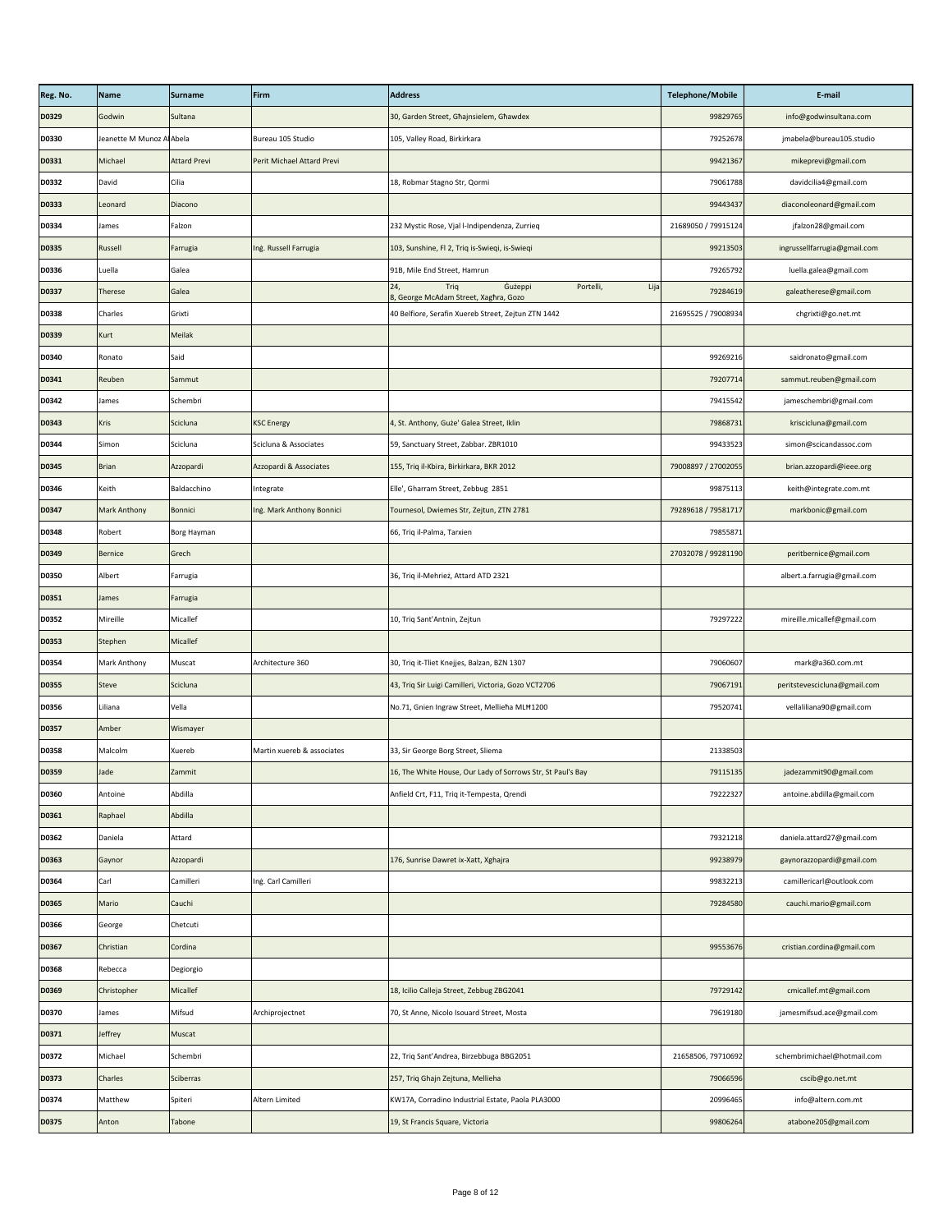| Reg. No.     | Name                      | Surname             | Firm                       | <b>Address</b>                                                                       | <b>Telephone/Mobile</b> | E-mail                       |
|--------------|---------------------------|---------------------|----------------------------|--------------------------------------------------------------------------------------|-------------------------|------------------------------|
| D0329        | Godwin                    | Sultana             |                            | 30, Garden Street, Ghajnsielem, Ghawdex                                              | 99829765                | info@godwinsultana.com       |
| <b>D0330</b> | Jeanette M Munoz Al Abela |                     | Bureau 105 Studio          | 105, Valley Road, Birkirkara                                                         | 79252678                | jmabela@bureau105.studio     |
| D0331        | Michael                   | <b>Attard Previ</b> | Perit Michael Attard Previ |                                                                                      | 99421367                | mikeprevi@gmail.com          |
| <b>D0332</b> | David                     | Cilia               |                            | 18, Robmar Stagno Str, Qormi                                                         | 79061788                | davidcilia4@gmail.com        |
| <b>D0333</b> | Leonard                   | Diacono             |                            |                                                                                      | 99443437                | diaconoleonard@gmail.com     |
| D0334        | <b>James</b>              | Falzon              |                            | 232 Mystic Rose, Vjal l-Indipendenza, Zurrieq                                        | 21689050 / 79915124     | jfalzon28@gmail.com          |
| <b>D0335</b> | Russell                   | Farrugia            | Ing. Russell Farrugia      | 103, Sunshine, Fl 2, Triq is-Swieqi, is-Swieqi                                       | 99213503                | ingrussellfarrugia@gmail.com |
| <b>D0336</b> | Luella                    | Galea               |                            | 91B, Mile End Street, Hamrun                                                         | 79265792                | luella.galea@gmail.com       |
| <b>D0337</b> | Therese                   | Galea               |                            | Gużeppi<br>Portelli,<br>Triq<br>24,<br>Lija<br>8, George McAdam Street, Xaghra, Gozo | 79284619                | galeatherese@gmail.com       |
| <b>D0338</b> | Charles                   | Grixti              |                            | 40 Belfiore, Serafin Xuereb Street, Zejtun ZTN 1442                                  | 21695525 / 79008934     | chgrixti@go.net.mt           |
| D0339        | Kurt                      | Meilak              |                            |                                                                                      |                         |                              |
| D0340        | Ronato                    | Said                |                            |                                                                                      | 99269216                | saidronato@gmail.com         |
| D0341        | Reuben                    | Sammut              |                            |                                                                                      | 79207714                | sammut.reuben@gmail.com      |
| D0342        | James                     | Schembri            |                            |                                                                                      | 79415542                | jameschembri@gmail.com       |
| <b>D0343</b> | Kris                      | Scicluna            | <b>KSC Energy</b>          | 4, St. Anthony, Guże' Galea Street, Iklin                                            | 79868731                | kriscicluna@gmail.com        |
| D0344        | Simon                     | Scicluna            | Scicluna & Associates      | 59, Sanctuary Street, Zabbar. ZBR1010                                                | 99433523                | simon@scicandassoc.com       |
| <b>D0345</b> | Brian                     | Azzopardi           | Azzopardi & Associates     | 155, Triq il-Kbira, Birkirkara, BKR 2012                                             | 79008897 / 27002055     | brian.azzopardi@ieee.org     |
| D0346        | Keith                     | Baldacchino         | Integrate                  | Elle', Gharram Street, Zebbug 2851                                                   | 99875113                | keith@integrate.com.mt       |
| D0347        | <b>Mark Anthony</b>       | Bonnici             | Ing. Mark Anthony Bonnici  | Tournesol, Dwiemes Str, Zejtun, ZTN 2781                                             | 79289618 / 79581717     | markbonic@gmail.com          |
| D0348        | Robert                    | Borg Hayman         |                            | 66, Triq il-Palma, Tarxien                                                           | 79855871                |                              |
| D0349        | Bernice                   | Grech               |                            |                                                                                      | 27032078 / 99281190     | peritbernice@gmail.com       |
| <b>D0350</b> | Albert                    | Farrugia            |                            | 36, Triq il-Mehrież, Attard ATD 2321                                                 |                         | albert.a.farrugia@gmail.com  |
| D0351        | James                     | Farrugia            |                            |                                                                                      |                         |                              |
| <b>D0352</b> | Mireille                  | Micallef            |                            | 10, Triq Sant'Antnin, Zejtun                                                         | 79297222                | mireille.micallef@gmail.com  |
| <b>D0353</b> | Stephen                   | Micallef            |                            |                                                                                      |                         |                              |
| D0354        | Mark Anthony              | Muscat              | Architecture 360           | 30, Triq it-Tliet Knejjes, Balzan, BZN 1307                                          | 79060607                | mark@a360.com.mt             |
| <b>D0355</b> | Steve                     | Scicluna            |                            | 43, Triq Sir Luigi Camilleri, Victoria, Gozo VCT2706                                 | 79067191                | peritstevescicluna@gmail.com |
| <b>D0356</b> | Liliana                   | Vella               |                            | No.71, Gnien Ingraw Street, Mellieha MLH1200                                         | 79520741                | vellaliliana90@gmail.com     |
| <b>D0357</b> | Amber                     | Wismayer            |                            |                                                                                      |                         |                              |
| <b>D0358</b> | Malcolm                   | Xuereb              | Martin xuereb & associates | 33, Sir George Borg Street, Sliema                                                   | 21338503                |                              |
| <b>D0359</b> | Jade                      | Zammit              |                            | 16, The White House, Our Lady of Sorrows Str, St Paul's Bay                          | 79115135                | jadezammit90@gmail.com       |
| <b>D0360</b> | Antoine                   | Abdilla             |                            | Anfield Crt, F11, Triq it-Tempesta, Qrendi                                           | 79222327                | antoine.abdilla@gmail.com    |
| D0361        | Raphael                   | Abdilla             |                            |                                                                                      |                         |                              |
| <b>D0362</b> | Daniela                   | Attard              |                            |                                                                                      | 79321218                | daniela.attard27@gmail.com   |
| <b>D0363</b> | Gaynor                    | Azzopardi           |                            | 176, Sunrise Dawret ix-Xatt, Xghajra                                                 | 99238979                | gaynorazzopardi@gmail.com    |
| D0364        | Carl                      | Camilleri           | Ing. Carl Camilleri        |                                                                                      | 99832213                | camillericarl@outlook.com    |
| <b>D0365</b> | Mario                     | Cauchi              |                            |                                                                                      | 79284580                | cauchi.mario@gmail.com       |
| <b>D0366</b> | George                    | Chetcuti            |                            |                                                                                      |                         |                              |
| <b>D0367</b> | Christian                 | Cordina             |                            |                                                                                      | 99553676                | cristian.cordina@gmail.com   |
| <b>D0368</b> | Rebecca                   | Degiorgio           |                            |                                                                                      |                         |                              |
| <b>D0369</b> | Christopher               | Micallef            |                            | 18, Icilio Calleja Street, Zebbug ZBG2041                                            | 79729142                | cmicallef.mt@gmail.com       |
| <b>D0370</b> | James                     | Mifsud              | Archiprojectnet            | 70, St Anne, Nicolo Isouard Street, Mosta                                            | 79619180                | jamesmifsud.ace@gmail.com    |
| D0371        | Jeffrey                   | Muscat              |                            |                                                                                      |                         |                              |
| D0372        | Michael                   | Schembri            |                            | 22, Triq Sant'Andrea, Birzebbuga BBG2051                                             | 21658506, 79710692      | schembrimichael@hotmail.com  |
| <b>D0373</b> | <b>Charles</b>            | Sciberras           |                            | 257, Triq Ghajn Zejtuna, Mellieha                                                    | 79066596                | cscib@go.net.mt              |
| D0374        | Matthew                   | Spiteri             | Altern Limited             | KW17A, Corradino Industrial Estate, Paola PLA3000                                    | 20996465                | info@altern.com.mt           |
| <b>D0375</b> | Anton                     | Tabone              |                            | 19, St Francis Square, Victoria                                                      | 99806264                | atabone205@gmail.com         |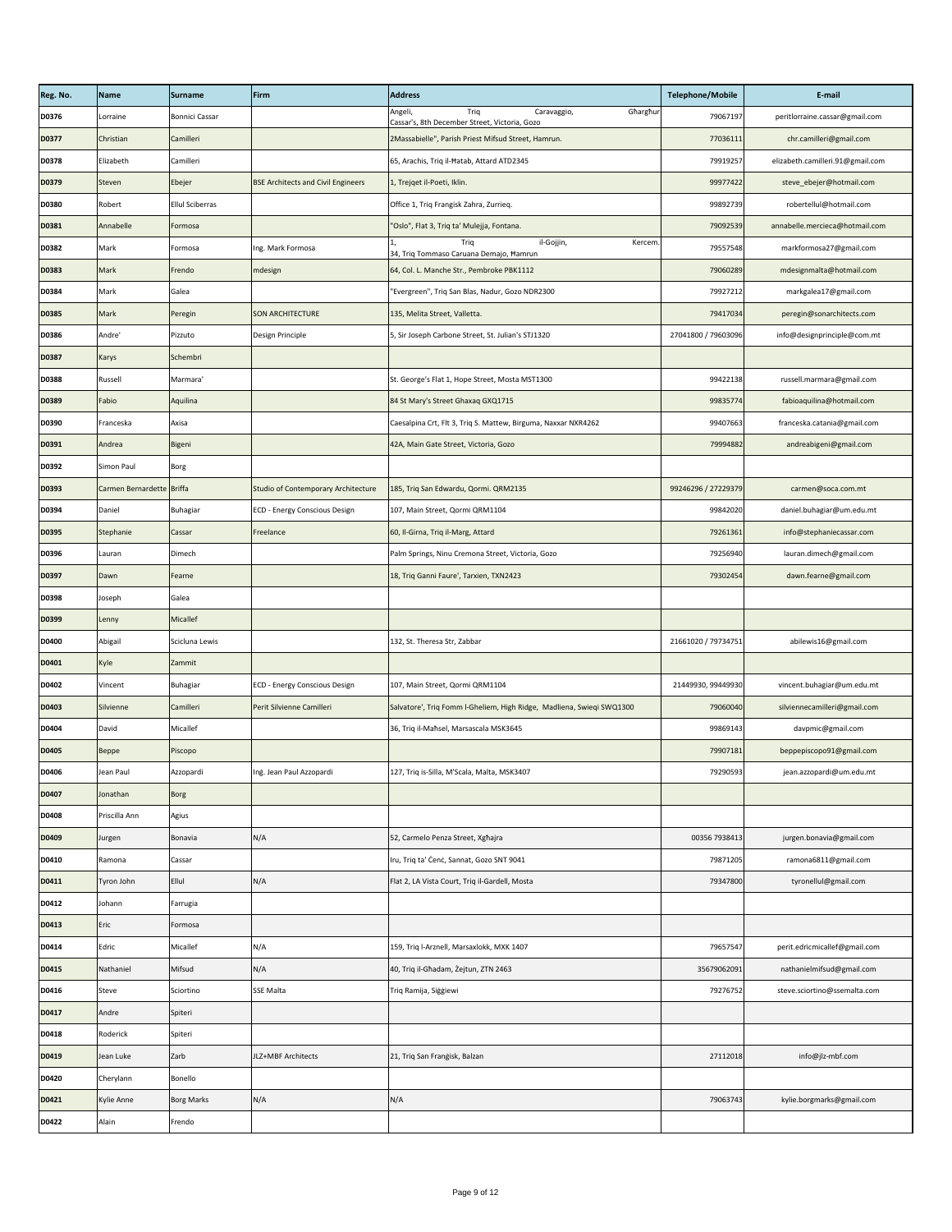| Reg. No.     | Name                      | <b>Surname</b>         | Firm                                       | <b>Address</b>                                                                              | <b>Telephone/Mobile</b> | E-mail                           |
|--------------|---------------------------|------------------------|--------------------------------------------|---------------------------------------------------------------------------------------------|-------------------------|----------------------------------|
| D0376        | Lorraine                  | <b>Bonnici Cassar</b>  |                                            | Angeli,<br>Triq<br>Gharghur<br>Caravaggio,<br>Cassar's, 8th December Street, Victoria, Gozo | 79067197                | peritlorraine.cassar@gmail.com   |
| <b>D0377</b> | Christian                 | Camilleri              |                                            | 2Massabielle", Parish Priest Mifsud Street, Hamrun.                                         | 77036111                | chr.camilleri@gmail.com          |
| <b>D0378</b> | Elizabeth                 | Camilleri              |                                            | 65, Arachis, Triq il-Hatab, Attard ATD2345                                                  | 79919257                | elizabeth.camilleri.91@gmail.com |
| D0379        | Steven                    | Ebejer                 | <b>BSE Architects and Civil Engineers</b>  | 1, Trejqet il-Poeti, Iklin.                                                                 | 99977422                | steve_ebejer@hotmail.com         |
| <b>D0380</b> | Robert                    | <b>Ellul Sciberras</b> |                                            | Office 1, Triq Frangisk Zahra, Zurrieq.                                                     | 99892739                | robertellul@hotmail.com          |
| D0381        | Annabelle                 | Formosa                |                                            | "Oslo", Flat 3, Triq ta' Mulejja, Fontana.                                                  | 79092539                | annabelle.mercieca@hotmail.com   |
| <b>D0382</b> | Mark                      | Formosa                | Ing. Mark Formosa                          | il-Gojjin,<br>Trig<br>Kercem.<br>34, Triq Tommaso Caruana Demajo, Hamrun                    | 79557548                | markformosa27@gmail.com          |
| <b>D0383</b> | Mark                      | Frendo                 | mdesign                                    | 64, Col. L. Manche Str., Pembroke PBK1112                                                   | 79060289                | mdesignmalta@hotmail.com         |
| <b>D0384</b> | Mark                      | Galea                  |                                            | "Evergreen", Triq San Blas, Nadur, Gozo NDR2300                                             | 79927212                | markgalea17@gmail.com            |
| <b>D0385</b> | Mark                      | Peregin                | <b>SON ARCHITECTURE</b>                    | 135, Melita Street, Valletta.                                                               | 79417034                | peregin@sonarchitects.com        |
| <b>D0386</b> | Andre'                    | Pizzuto                | Design Principle                           | 5, Sir Joseph Carbone Street, St. Julian's STJ1320                                          | 27041800 / 79603096     | info@designprinciple@com.mt      |
| <b>D0387</b> | Karys                     | Schembri               |                                            |                                                                                             |                         |                                  |
| <b>D0388</b> | Russell                   | Marmara'               |                                            | St. George's Flat 1, Hope Street, Mosta MST1300                                             | 99422138                | russell.marmara@gmail.com        |
| <b>D0389</b> | Fabio                     | Aquilina               |                                            | 84 St Mary's Street Ghaxaq GXQ1715                                                          | 99835774                | fabioaquilina@hotmail.com        |
| <b>D0390</b> | Franceska                 | Axisa                  |                                            | Caesalpina Crt, Flt 3, Triq S. Mattew, Birguma, Naxxar NXR4262                              | 99407663                | franceska.catania@gmail.com      |
| D0391        | Andrea                    | Bigeni                 |                                            | 42A, Main Gate Street, Victoria, Gozo                                                       | 79994882                | andreabigeni@gmail.com           |
| D0392        | Simon Paul                | Borg                   |                                            |                                                                                             |                         |                                  |
| D0393        | Carmen Bernardette Briffa |                        | <b>Studio of Contemporary Architecture</b> | 185, Triq San Edwardu, Qormi. QRM2135                                                       | 99246296 / 27229379     | carmen@soca.com.mt               |
| D0394        | Daniel                    | Buhagiar               | <b>ECD - Energy Conscious Design</b>       | 107, Main Street, Qormi QRM1104                                                             | 99842020                | daniel.buhagiar@um.edu.mt        |
| <b>D0395</b> | Stephanie                 | Cassar                 | Freelance                                  | 60, Il-Girna, Triq il-Marg, Attard                                                          | 79261361                | info@stephaniecassar.com         |
| <b>D0396</b> | Lauran                    | Dimech                 |                                            | Palm Springs, Ninu Cremona Street, Victoria, Gozo                                           | 79256940                | lauran.dimech@gmail.com          |
| <b>D0397</b> | Dawn                      | Fearne                 |                                            | 18, Triq Ganni Faure', Tarxien, TXN2423                                                     | 79302454                | dawn.fearne@gmail.com            |
| <b>D0398</b> | Joseph                    | Galea                  |                                            |                                                                                             |                         |                                  |
| D0399        | Lenny                     | Micallef               |                                            |                                                                                             |                         |                                  |
| <b>D0400</b> | Abigail                   | Scicluna Lewis         |                                            | 132, St. Theresa Str, Zabbar                                                                | 21661020 / 79734751     | abilewis16@gmail.com             |
| D0401        | Kyle                      | Zammit                 |                                            |                                                                                             |                         |                                  |
| D0402        | Vincent                   | <b>Buhagiar</b>        | <b>ECD - Energy Conscious Design</b>       | 107, Main Street, Qormi QRM1104                                                             | 21449930, 99449930      | vincent.buhagiar@um.edu.mt       |
| <b>D0403</b> | Silvienne                 | Camilleri              | Perit Silvienne Camilleri                  | Salvatore', Triq Fomm I-Gheliem, High Ridge, Madliena, Swieqi SWQ1300                       | 79060040                | silviennecamilleri@gmail.com     |
| D0404        | David                     | Micallef               |                                            | 36, Triq il-Maħsel, Marsascala MSK3645                                                      | 99869143                | davpmic@gmail.com                |
| <b>D0405</b> | Beppe                     | Piscopo                |                                            |                                                                                             | 79907181                | beppepiscopo91@gmail.com         |
| D0406        | Jean Paul                 | Azzopardi              | Ing. Jean Paul Azzopardi                   | 127, Triq is-Silla, M'Scala, Malta, MSK3407                                                 | 79290593                | jean.azzopardi@um.edu.mt         |
| D0407        | Jonathan                  | Borg                   |                                            |                                                                                             |                         |                                  |
| D0408        | Priscilla Ann             | Agius                  |                                            |                                                                                             |                         |                                  |
| D0409        | Jurgen                    | Bonavia                | N/A                                        | 52, Carmelo Penza Street, Xghajra                                                           | 00356 7938413           | jurgen.bonavia@gmail.com         |
| D0410        | Ramona                    | Cassar                 |                                            | Iru, Triq ta' Cenc, Sannat, Gozo SNT 9041                                                   | 79871205                | ramona6811@gmail.com             |
| D0411        | Tyron John                | Ellul                  | N/A                                        | Flat 2, LA Vista Court, Triq il-Gardell, Mosta                                              | 79347800                | tyronellul@gmail.com             |
| D0412        | Johann                    | Farrugia               |                                            |                                                                                             |                         |                                  |
| D0413        | Eric                      | Formosa                |                                            |                                                                                             |                         |                                  |
| D0414        | Edric                     | Micallef               | N/A                                        | 159, Triq l-Arznell, Marsaxlokk, MXK 1407                                                   | 79657547                | perit.edricmicallef@gmail.com    |
| D0415        | Nathaniel                 | Mifsud                 | N/A                                        | 40, Triq il-Għadam, Żejtun, ZTN 2463                                                        | 35679062091             | nathanielmifsud@gmail.com        |
| D0416        | Steve                     | Sciortino              | <b>SSE Malta</b>                           | Triq Ramija, Siģģiewi                                                                       | 79276752                | steve.sciortino@ssemalta.com     |
| D0417        | Andre                     | Spiteri                |                                            |                                                                                             |                         |                                  |
| D0418        | Roderick                  | Spiteri                |                                            |                                                                                             |                         |                                  |
| D0419        | Jean Luke                 | Zarb                   | JLZ+MBF Architects                         | 21, Triq San Frangisk, Balzan                                                               | 27112018                | info@jlz-mbf.com                 |
| D0420        | Cherylann                 | Bonello                |                                            |                                                                                             |                         |                                  |
| D0421        | Kylie Anne                | <b>Borg Marks</b>      | N/A                                        | N/A                                                                                         | 79063743                | kylie.borgmarks@gmail.com        |
| D0422        | Alain                     | Frendo                 |                                            |                                                                                             |                         |                                  |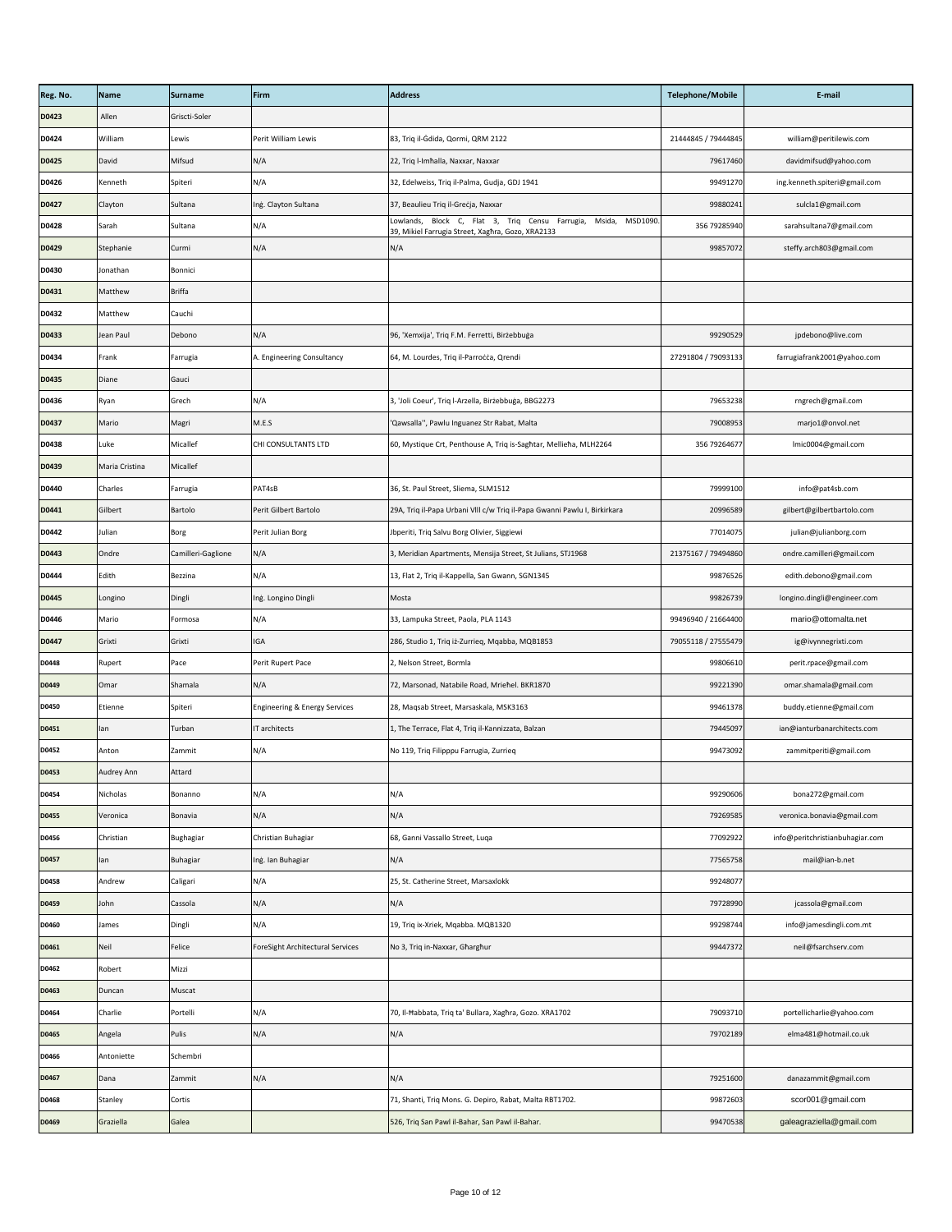| Reg. No.     | Name           | <b>Surname</b>     | Firm                                     | <b>Address</b>                                                                                                          | <b>Telephone/Mobile</b> | E-mail                          |
|--------------|----------------|--------------------|------------------------------------------|-------------------------------------------------------------------------------------------------------------------------|-------------------------|---------------------------------|
| D0423        | Allen          | Griscti-Soler      |                                          |                                                                                                                         |                         |                                 |
| D0424        | William        | Lewis              | Perit William Lewis                      | 83, Triq il-Gdida, Qormi, QRM 2122                                                                                      | 21444845 / 79444845     | william@peritilewis.com         |
| <b>D0425</b> | David          | Mifsud             | N/A                                      | 22, Triq l-Imhalla, Naxxar, Naxxar                                                                                      | 79617460                | davidmifsud@yahoo.com           |
| D0426        | Kenneth        | Spiteri            | N/A                                      | 32, Edelweiss, Triq il-Palma, Gudja, GDJ 1941                                                                           | 99491270                | ing.kenneth.spiteri@gmail.com   |
| D0427        | Clayton        | Sultana            | Ing. Clayton Sultana                     | 37, Beaulieu Triq il-Greċja, Naxxar                                                                                     | 99880241                | sulcla1@gmail.com               |
| D0428        | Sarah          | Sultana            | N/A                                      | Msida, MSD1090.<br>Lowlands, Block C, Flat 3, Triq Censu Farrugia,<br>39, Mikiel Farrugia Street, Xaghra, Gozo, XRA2133 | 356 79285940            | sarahsultana7@gmail.com         |
| D0429        | Stephanie      | Curmi              | N/A                                      | N/A                                                                                                                     | 99857072                | steffy.arch803@gmail.com        |
| <b>D0430</b> | Jonathan       | Bonnici            |                                          |                                                                                                                         |                         |                                 |
| D0431        | Matthew        | <b>Briffa</b>      |                                          |                                                                                                                         |                         |                                 |
| D0432        | Matthew        | Cauchi             |                                          |                                                                                                                         |                         |                                 |
| <b>D0433</b> | Jean Paul      | Debono             | N/A                                      | 96, 'Xemxija', Triq F.M. Ferretti, Birżebbuġa                                                                           | 99290529                | jpdebono@live.com               |
| D0434        | Frank          | Farrugia           | A. Engineering Consultancy               | 64, M. Lourdes, Triq il-Parrocca, Qrendi                                                                                | 27291804 / 79093133     | farrugiafrank2001@yahoo.com     |
| <b>D0435</b> | Diane          | Gauci              |                                          |                                                                                                                         |                         |                                 |
| D0436        | Ryan           | Grech              | N/A                                      | 3, 'Joli Coeur', Triq l-Arzella, Birżebbuġa, BBG2273                                                                    | 79653238                | rngrech@gmail.com               |
| D0437        | Mario          | Magri              | M.E.S                                    | 'Qawsalla", Pawlu Inguanez Str Rabat, Malta                                                                             | 79008953                | marjo1@onvol.net                |
| D0438        | Luke           | Micallef           | CHI CONSULTANTS LTD                      | 60, Mystique Crt, Penthouse A, Triq is-Saghtar, Mellieha, MLH2264                                                       | 356 79264677            | Imic0004@gmail.com              |
| D0439        | Maria Cristina | Micallef           |                                          |                                                                                                                         |                         |                                 |
| D0440        | Charles        | Farrugia           | PAT4sB                                   | 36, St. Paul Street, Sliema, SLM1512                                                                                    | 79999100                | info@pat4sb.com                 |
| D0441        | Gilbert        | Bartolo            | Perit Gilbert Bartolo                    | 29A, Triq il-Papa Urbani VIII c/w Triq il-Papa Gwanni Pawlu I, Birkirkara                                               | 20996589                | gilbert@gilbertbartolo.com      |
| D0442        | Julian         | Borg               | Perit Julian Borg                        | Jbperiti, Triq Salvu Borg Olivier, Siggiewi                                                                             | 77014075                | julian@julianborg.com           |
| D0443        | Ondre          | Camilleri-Gaglione | N/A                                      | 3, Meridian Apartments, Mensija Street, St Julians, STJ1968                                                             | 21375167 / 79494860     | ondre.camilleri@gmail.com       |
| D0444        | Edith          | Bezzina            | N/A                                      | 13, Flat 2, Triq il-Kappella, San Gwann, SGN1345                                                                        | 99876526                | edith.debono@gmail.com          |
| D0445        | Longino        | Dingli             | Ing. Longino Dingli                      | Mosta                                                                                                                   | 99826739                | longino.dingli@engineer.com     |
| D0446        | Mario          | Formosa            | N/A                                      | 33, Lampuka Street, Paola, PLA 1143                                                                                     | 99496940 / 21664400     | mario@ottomalta.net             |
| D0447        | Grixti         | Grixti             | <b>IGA</b>                               | 286, Studio 1, Triq iż-Zurrieq, Mqabba, MQB1853                                                                         | 79055118 / 27555479     | ig@ivynnegrixti.com             |
| D0448        | Rupert         | Pace               | Perit Rupert Pace                        | 2, Nelson Street, Bormla                                                                                                | 99806610                | perit.rpace@gmail.com           |
| D0449        | Omar           | Shamala            | N/A                                      | 72, Marsonad, Natabile Road, Mriehel. BKR1870                                                                           | 99221390                | omar.shamala@gmail.com          |
| D0450        | Etienne        | Spiteri            | <b>Engineering &amp; Energy Services</b> | 28, Maqsab Street, Marsaskala, MSK3163                                                                                  | 99461378                | buddy.etienne@gmail.com         |
| D0451        | lan            | Turban             | IT architects                            | 1, The Terrace, Flat 4, Triq il-Kannizzata, Balzan                                                                      | 79445097                | ian@ianturbanarchitects.com     |
| D0452        | Anton          | Zammit             | N/A                                      | No 119, Triq Filipppu Farrugia, Zurrieq                                                                                 | 99473092                | zammitperiti@gmail.com          |
| D0453        | Audrey Ann     | Attard             |                                          |                                                                                                                         |                         |                                 |
| D0454        | Nicholas       | Bonanno            | N/A                                      | N/A                                                                                                                     | 99290606                | bona272@gmail.com               |
| <b>D0455</b> | Veronica       | Bonavia            | N/A                                      | N/A                                                                                                                     | 79269585                | veronica.bonavia@gmail.com      |
| D0456        | Christian      | Bughagiar          | Christian Buhagiar                       | 68, Ganni Vassallo Street, Luqa                                                                                         | 77092922                | info@peritchristianbuhagiar.com |
| D0457        | lan            | <b>Buhagiar</b>    | Ing. Ian Buhagiar                        | N/A                                                                                                                     | 77565758                | mail@ian-b.net                  |
| D0458        | Andrew         | Caligari           | N/A                                      | 25, St. Catherine Street, Marsaxlokk                                                                                    | 99248077                |                                 |
| D0459        | John           | Cassola            | N/A                                      | N/A                                                                                                                     | 79728990                | jcassola@gmail.com              |
| D0460        | <b>James</b>   | Dingli             | N/A                                      | 19, Triq ix-Xriek, Mqabba. MQB1320                                                                                      | 99298744                | info@jamesdingli.com.mt         |
| D0461        | Neil           | Felice             | ForeSight Architectural Services         | No 3, Triq in-Naxxar, Gharghur                                                                                          | 99447372                | neil@fsarchserv.com             |
| D0462        | Robert         | Mizzi              |                                          |                                                                                                                         |                         |                                 |
| D0463        | Duncan         | Muscat             |                                          |                                                                                                                         |                         |                                 |
| D0464        | Charlie        | Portelli           | N/A                                      | 70, Il-Ħabbata, Triq ta' Bullara, Xagħra, Gozo. XRA1702                                                                 | 79093710                | portellicharlie@yahoo.com       |
| D0465        | Angela         | Pulis              | N/A                                      | N/A                                                                                                                     | 79702189                | elma481@hotmail.co.uk           |
| D0466        | Antoniette     | Schembri           |                                          |                                                                                                                         |                         |                                 |
| D0467        | Dana           | Zammit             | N/A                                      | N/A                                                                                                                     | 79251600                | danazammit@gmail.com            |
| D0468        | Stanley        | Cortis             |                                          | 71, Shanti, Triq Mons. G. Depiro, Rabat, Malta RBT1702.                                                                 | 99872603                | scor001@gmail.com               |
| D0469        | Graziella      | Galea              |                                          | 526, Triq San Pawl il-Bahar, San Pawl il-Bahar.                                                                         | 99470538                | galeagraziella@gmail.com        |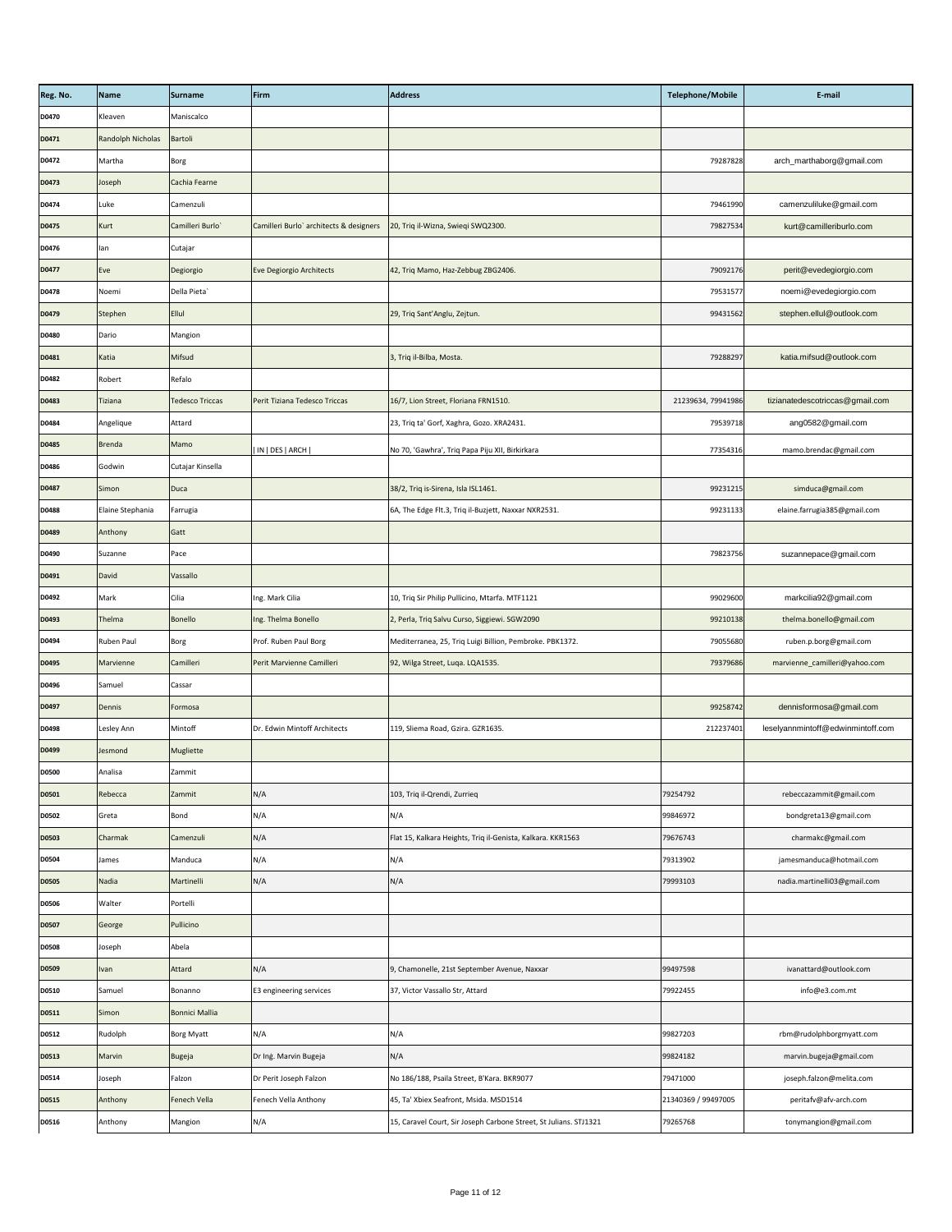| Reg. No.     | Name              | Surname                | Firm                                    | <b>Address</b>                                                    | <b>Telephone/Mobile</b> | E-mail                            |
|--------------|-------------------|------------------------|-----------------------------------------|-------------------------------------------------------------------|-------------------------|-----------------------------------|
| D0470        | Kleaven           | Maniscalco             |                                         |                                                                   |                         |                                   |
| D0471        | Randolph Nicholas | Bartoli                |                                         |                                                                   |                         |                                   |
| D0472        | Martha            | <b>Borg</b>            |                                         |                                                                   | 79287828                | arch_marthaborg@gmail.com         |
| D0473        | Joseph            | Cachia Fearne          |                                         |                                                                   |                         |                                   |
| D0474        | Luke              | Camenzuli              |                                         |                                                                   | 79461990                | camenzuliluke@gmail.com           |
| D0475        | Kurt              | Camilleri Burlo        | Camilleri Burlo' architects & designers | 20, Triq il-Wizna, Swieqi SWQ2300.                                | 79827534                | kurt@camilleriburlo.com           |
| D0476        | lan               | Cutajar                |                                         |                                                                   |                         |                                   |
| D0477        | Eve               | Degiorgio              | Eve Degiorgio Architects                | 42, Triq Mamo, Haz-Zebbug ZBG2406.                                | 79092176                | perit@evedegiorgio.com            |
| D0478        | Noemi             | Della Pieta            |                                         |                                                                   | 79531577                | noemi@evedegiorgio.com            |
| D0479        | Stephen           | Ellul                  |                                         | 29, Triq Sant'Anglu, Zejtun.                                      | 99431562                | stephen.ellul@outlook.com         |
| D0480        | Dario             | Mangion                |                                         |                                                                   |                         |                                   |
| D0481        | Katia             | Mifsud                 |                                         | 3, Triq il-Bilba, Mosta.                                          | 79288297                | katia.mifsud@outlook.com          |
| D0482        | Robert            | Refalo                 |                                         |                                                                   |                         |                                   |
| D0483        | <b>Tiziana</b>    | <b>Tedesco Triccas</b> | Perit Tiziana Tedesco Triccas           | 16/7, Lion Street, Floriana FRN1510.                              | 21239634, 79941986      | tizianatedescotriccas@gmail.com   |
| D0484        | Angelique         | Attard                 |                                         | 23, Triq ta' Gorf, Xaghra, Gozo. XRA2431.                         | 79539718                | ang0582@gmail.com                 |
| D0485        | Brenda            | Mamo                   | IN   DES   ARCH                         | No 70, 'Gawhra', Triq Papa Piju XII, Birkirkara                   | 77354316                | mamo.brendac@gmail.com            |
| D0486        | Godwin            | Cutajar Kinsella       |                                         |                                                                   |                         |                                   |
| D0487        | Simon             | Duca                   |                                         | 38/2, Triq is-Sirena, Isla ISL1461.                               | 99231215                | simduca@gmail.com                 |
| D0488        | Elaine Stephania  | Farrugia               |                                         | 6A, The Edge Flt.3, Triq il-Buzjett, Naxxar NXR2531.              | 99231133                | elaine.farrugia385@gmail.com      |
| D0489        | Anthony           | Gatt                   |                                         |                                                                   |                         |                                   |
| D0490        | Suzanne           | Pace                   |                                         |                                                                   | 79823756                | suzannepace@gmail.com             |
| D0491        | David             | Vassallo               |                                         |                                                                   |                         |                                   |
| D0492        | Mark              | Cilia                  | Ing. Mark Cilia                         | 10, Triq Sir Philip Pullicino, Mtarfa. MTF1121                    | 99029600                | markcilia92@gmail.com             |
| D0493        | Thelma            | <b>Bonello</b>         | Ing. Thelma Bonello                     | 2, Perla, Triq Salvu Curso, Siggiewi. SGW2090                     | 99210138                | thelma.bonello@gmail.com          |
| D0494        | Ruben Paul        | Borg                   | Prof. Ruben Paul Borg                   | Mediterranea, 25, Triq Luigi Billion, Pembroke. PBK1372.          | 79055680                | ruben.p.borg@gmail.com            |
| D0495        | Marvienne         | Camilleri              | Perit Marvienne Camilleri               | 92, Wilga Street, Luqa. LQA1535.                                  | 79379686                | marvienne_camilleri@yahoo.com     |
| D0496        | Samuel            | Cassar                 |                                         |                                                                   |                         |                                   |
| D0497        | Dennis            | Formosa                |                                         |                                                                   | 99258742                | dennisformosa@gmail.com           |
| D0498        | Lesley Ann        | Mintoff                | Dr. Edwin Mintoff Architects            | 119, Sliema Road, Gzira. GZR1635.                                 | 212237401               | leselyannmintoff@edwinmintoff.com |
| D0499        | Jesmond           | Mugliette              |                                         |                                                                   |                         |                                   |
| <b>D0500</b> | Analisa           | Zammit                 |                                         |                                                                   |                         |                                   |
| <b>D0501</b> | Rebecca           | Zammit                 | N/A                                     | 103, Triq il-Qrendi, Zurrieq                                      | 79254792                | rebeccazammit@gmail.com           |
| <b>D0502</b> | Greta             | Bond                   | N/A                                     | N/A                                                               | 99846972                | bondgreta13@gmail.com             |
| <b>D0503</b> | Charmak           | Camenzuli              | N/A                                     | Flat 15, Kalkara Heights, Triq il-Genista, Kalkara. KKR1563       | 79676743                | charmakc@gmail.com                |
| D0504        | James             | Manduca                | N/A                                     | N/A                                                               | 79313902                | jamesmanduca@hotmail.com          |
| <b>D0505</b> | Nadia             | Martinelli             | N/A                                     | N/A                                                               | 79993103                | nadia.martinelli03@gmail.com      |
| <b>D0506</b> | Walter            | Portelli               |                                         |                                                                   |                         |                                   |
| <b>D0507</b> | George            | Pullicino              |                                         |                                                                   |                         |                                   |
| <b>D0508</b> | Joseph            | Abela                  |                                         |                                                                   |                         |                                   |
| <b>D0509</b> | Ivan              | Attard                 | N/A                                     | 9, Chamonelle, 21st September Avenue, Naxxar                      | 99497598                | ivanattard@outlook.com            |
| <b>D0510</b> | Samuel            | Bonanno                | E3 engineering services                 | 37, Victor Vassallo Str, Attard                                   | 79922455                | info@e3.com.mt                    |
| D0511        | Simon             | <b>Bonnici Mallia</b>  |                                         |                                                                   |                         |                                   |
| D0512        | Rudolph           | <b>Borg Myatt</b>      | N/A                                     | N/A                                                               | 99827203                | rbm@rudolphborgmyatt.com          |
| <b>D0513</b> | Marvin            | <b>Bugeja</b>          | Dr Ing. Marvin Bugeja                   | N/A                                                               | 99824182                | marvin.bugeja@gmail.com           |
| D0514        | Joseph            | Falzon                 | Dr Perit Joseph Falzon                  | No 186/188, Psaila Street, B'Kara. BKR9077                        | 79471000                | joseph.falzon@melita.com          |
| <b>D0515</b> | Anthony           | Fenech Vella           | Fenech Vella Anthony                    | 45, Ta' Xbiex Seafront, Msida. MSD1514                            | 21340369 / 99497005     | peritafv@afv-arch.com             |
| D0516        | Anthony           | Mangion                | N/A                                     | 15, Caravel Court, Sir Joseph Carbone Street, St Julians. STJ1321 | 79265768                | tonymangion@gmail.com             |